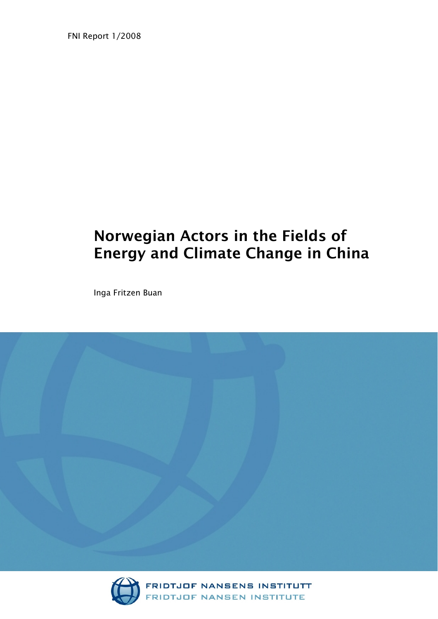FNI Report 1/2008

# Norwegian Actors in the Fields of Energy and Climate Change in China

Inga Fritzen Buan





FRIDTJOF NANSENS INSTITUTT<br>FRIDTJOF NANSEN INSTITUTE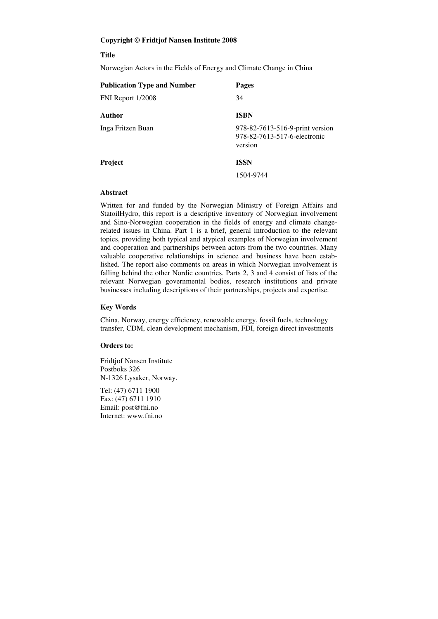#### **Copyright © Fridtjof Nansen Institute 2008**

#### **Title**

Norwegian Actors in the Fields of Energy and Climate Change in China

| <b>Publication Type and Number</b> | <b>Pages</b>                                                               |
|------------------------------------|----------------------------------------------------------------------------|
| FNI Report 1/2008                  | 34                                                                         |
| <b>Author</b>                      | <b>ISBN</b>                                                                |
| Inga Fritzen Buan                  | 978-82-7613-516-9-print version<br>978-82-7613-517-6-electronic<br>version |
| <b>Project</b>                     | <b>ISSN</b>                                                                |
|                                    | 1504-9744                                                                  |

#### **Abstract**

Written for and funded by the Norwegian Ministry of Foreign Affairs and StatoilHydro, this report is a descriptive inventory of Norwegian involvement and Sino-Norwegian cooperation in the fields of energy and climate changerelated issues in China. Part 1 is a brief, general introduction to the relevant topics, providing both typical and atypical examples of Norwegian involvement and cooperation and partnerships between actors from the two countries. Many valuable cooperative relationships in science and business have been established. The report also comments on areas in which Norwegian involvement is falling behind the other Nordic countries. Parts 2, 3 and 4 consist of lists of the relevant Norwegian governmental bodies, research institutions and private businesses including descriptions of their partnerships, projects and expertise.

#### **Key Words**

China, Norway, energy efficiency, renewable energy, fossil fuels, technology transfer, CDM, clean development mechanism, FDI, foreign direct investments

#### **Orders to:**

Fridtjof Nansen Institute Postboks 326 N-1326 Lysaker, Norway.

Tel: (47) 6711 1900 Fax: (47) 6711 1910 Email: post@fni.no Internet: www.fni.no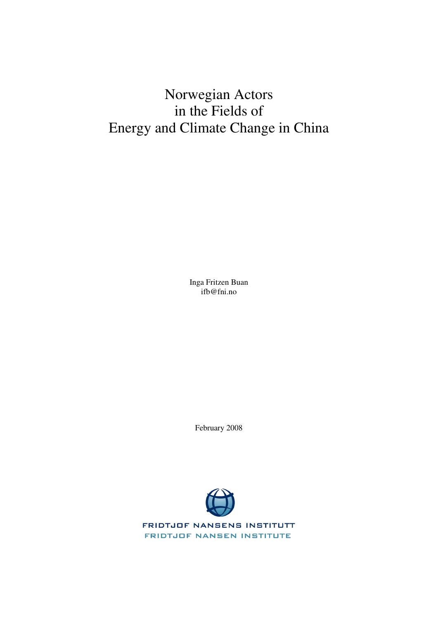# Norwegian Actors in the Fields of Energy and Climate Change in China

Inga Fritzen Buan ifb@fni.no

February 2008



**FRIDTJOF NANSENS INSTITUTT FRIDTJOF NANSEN INSTITUTE**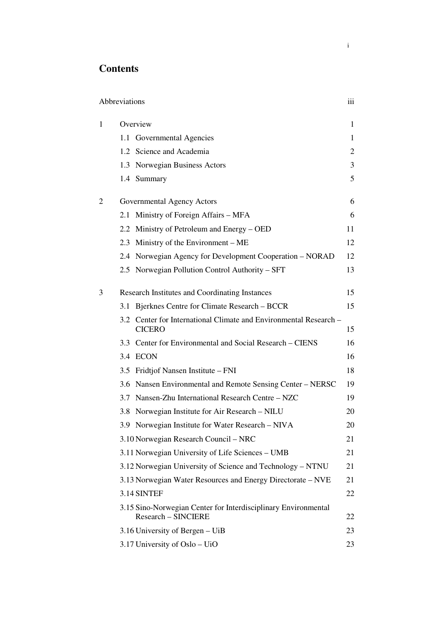# **Contents**

| Abbreviations |     |                                                                                              | iii |
|---------------|-----|----------------------------------------------------------------------------------------------|-----|
| 1             |     | Overview                                                                                     | 1   |
|               |     | 1.1 Governmental Agencies                                                                    | 1   |
|               |     | 1.2 Science and Academia                                                                     | 2   |
|               |     | 1.3 Norwegian Business Actors                                                                | 3   |
|               |     | 1.4 Summary                                                                                  | 5   |
| 2             |     | Governmental Agency Actors                                                                   | 6   |
|               |     | 2.1 Ministry of Foreign Affairs - MFA                                                        | 6   |
|               |     | 2.2 Ministry of Petroleum and Energy – OED                                                   | 11  |
|               |     | 2.3 Ministry of the Environment – ME                                                         | 12  |
|               |     | 2.4 Norwegian Agency for Development Cooperation – NORAD                                     | 12  |
|               |     | 2.5 Norwegian Pollution Control Authority – SFT                                              | 13  |
| 3             |     | <b>Research Institutes and Coordinating Instances</b>                                        | 15  |
|               | 3.1 | Bjerknes Centre for Climate Research – BCCR                                                  | 15  |
|               |     | 3.2 Center for International Climate and Environmental Research –<br><b>CICERO</b>           | 15  |
|               |     | 3.3 Center for Environmental and Social Research – CIENS                                     | 16  |
|               |     | 3.4 ECON                                                                                     | 16  |
|               |     | 3.5 Fridtjof Nansen Institute – FNI                                                          | 18  |
|               |     | 3.6 Nansen Environmental and Remote Sensing Center - NERSC                                   | 19  |
|               |     | 3.7 Nansen-Zhu International Research Centre - NZC                                           | 19  |
|               | 3.8 | Norwegian Institute for Air Research - NILU                                                  | 20  |
|               |     | 3.9 Norwegian Institute for Water Research – NIVA                                            | 20  |
|               |     | 3.10 Norwegian Research Council – NRC                                                        | 21  |
|               |     | 3.11 Norwegian University of Life Sciences – UMB                                             | 21  |
|               |     | 3.12 Norwegian University of Science and Technology - NTNU                                   | 21  |
|               |     | 3.13 Norwegian Water Resources and Energy Directorate – NVE                                  | 21  |
|               |     | 3.14 SINTEF                                                                                  | 22  |
|               |     | 3.15 Sino-Norwegian Center for Interdisciplinary Environmental<br><b>Research - SINCIERE</b> | 22  |
|               |     | 3.16 University of Bergen – UiB                                                              | 23  |
|               |     | 3.17 University of Oslo – UiO                                                                | 23  |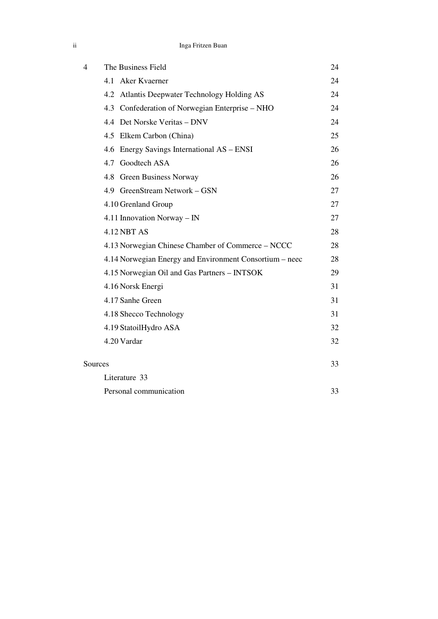| Inga Fritzen Buan |
|-------------------|
|-------------------|

| 4 | The Business Field                                      | 24 |
|---|---------------------------------------------------------|----|
|   | Aker Kvaerner<br>4.1                                    | 24 |
|   | 4.2 Atlantis Deepwater Technology Holding AS            | 24 |
|   | 4.3 Confederation of Norwegian Enterprise - NHO         | 24 |
|   | 4.4 Det Norske Veritas - DNV                            | 24 |
|   | 4.5 Elkem Carbon (China)                                | 25 |
|   | 4.6 Energy Savings International AS – ENSI              | 26 |
|   | 4.7 Goodtech ASA                                        | 26 |
|   | 4.8 Green Business Norway                               | 26 |
|   | 4.9 GreenStream Network - GSN                           | 27 |
|   | 4.10 Grenland Group                                     | 27 |
|   | 4.11 Innovation Norway - IN                             | 27 |
|   | <b>4.12 NBT AS</b>                                      | 28 |
|   | 4.13 Norwegian Chinese Chamber of Commerce – NCCC       | 28 |
|   | 4.14 Norwegian Energy and Environment Consortium – neec | 28 |
|   | 4.15 Norwegian Oil and Gas Partners - INTSOK            | 29 |
|   | 4.16 Norsk Energi                                       | 31 |
|   | 4.17 Sanhe Green                                        | 31 |
|   | 4.18 Shecco Technology                                  | 31 |
|   | 4.19 StatoilHydro ASA                                   | 32 |
|   | 4.20 Vardar                                             | 32 |
|   | Sources                                                 | 33 |
|   | Literature 33                                           |    |
|   | Personal communication                                  | 33 |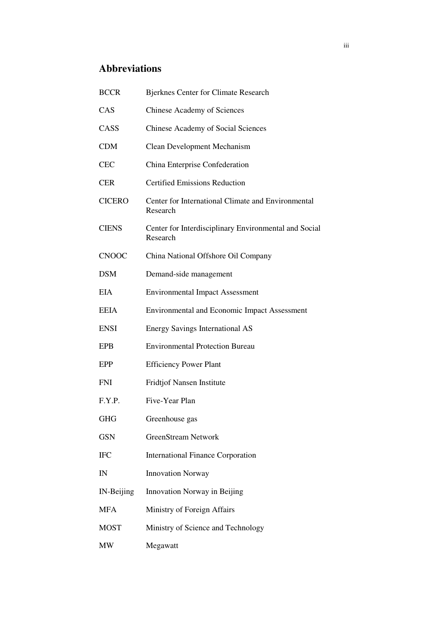# **Abbreviations**

| <b>BCCR</b>   | <b>Bjerknes Center for Climate Research</b>                       |
|---------------|-------------------------------------------------------------------|
| CAS           | <b>Chinese Academy of Sciences</b>                                |
| CASS          | <b>Chinese Academy of Social Sciences</b>                         |
| <b>CDM</b>    | <b>Clean Development Mechanism</b>                                |
| <b>CEC</b>    | China Enterprise Confederation                                    |
| <b>CER</b>    | <b>Certified Emissions Reduction</b>                              |
| <b>CICERO</b> | Center for International Climate and Environmental<br>Research    |
| <b>CIENS</b>  | Center for Interdisciplinary Environmental and Social<br>Research |
| <b>CNOOC</b>  | China National Offshore Oil Company                               |
| <b>DSM</b>    | Demand-side management                                            |
| <b>EIA</b>    | <b>Environmental Impact Assessment</b>                            |
| <b>EEIA</b>   | <b>Environmental and Economic Impact Assessment</b>               |
| <b>ENSI</b>   | <b>Energy Savings International AS</b>                            |
| <b>EPB</b>    | <b>Environmental Protection Bureau</b>                            |
| EPP           | <b>Efficiency Power Plant</b>                                     |
| <b>FNI</b>    | Fridtjof Nansen Institute                                         |
| F.Y.P.        | Five-Year Plan                                                    |
| <b>GHG</b>    | Greenhouse gas                                                    |
| <b>GSN</b>    | <b>GreenStream Network</b>                                        |
| <b>IFC</b>    | <b>International Finance Corporation</b>                          |
| IN            | <b>Innovation Norway</b>                                          |
| IN-Beijing    | Innovation Norway in Beijing                                      |
| <b>MFA</b>    | Ministry of Foreign Affairs                                       |
| <b>MOST</b>   | Ministry of Science and Technology                                |
| MW            | Megawatt                                                          |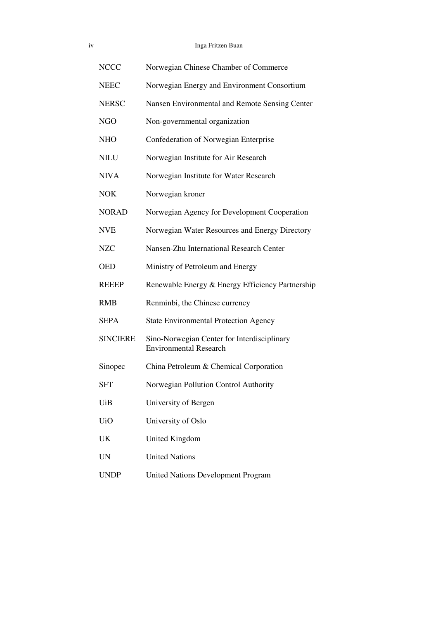| 1V | Inga Fritzen Buan |
|----|-------------------|
|    |                   |

| <b>NCCC</b>     | Norwegian Chinese Chamber of Commerce                                        |
|-----------------|------------------------------------------------------------------------------|
| <b>NEEC</b>     | Norwegian Energy and Environment Consortium                                  |
| <b>NERSC</b>    | Nansen Environmental and Remote Sensing Center                               |
| <b>NGO</b>      | Non-governmental organization                                                |
| <b>NHO</b>      | Confederation of Norwegian Enterprise                                        |
| <b>NILU</b>     | Norwegian Institute for Air Research                                         |
| <b>NIVA</b>     | Norwegian Institute for Water Research                                       |
| <b>NOK</b>      | Norwegian kroner                                                             |
| <b>NORAD</b>    | Norwegian Agency for Development Cooperation                                 |
| <b>NVE</b>      | Norwegian Water Resources and Energy Directory                               |
| <b>NZC</b>      | Nansen-Zhu International Research Center                                     |
| <b>OED</b>      | Ministry of Petroleum and Energy                                             |
| <b>REEEP</b>    | Renewable Energy & Energy Efficiency Partnership                             |
| <b>RMB</b>      | Renminbi, the Chinese currency                                               |
| <b>SEPA</b>     | <b>State Environmental Protection Agency</b>                                 |
| <b>SINCIERE</b> | Sino-Norwegian Center for Interdisciplinary<br><b>Environmental Research</b> |
| Sinopec         | China Petroleum & Chemical Corporation                                       |
| <b>SFT</b>      | Norwegian Pollution Control Authority                                        |
| UiB             | University of Bergen                                                         |
| <b>UiO</b>      | University of Oslo                                                           |
| UK              | <b>United Kingdom</b>                                                        |
| <b>UN</b>       | <b>United Nations</b>                                                        |
| <b>UNDP</b>     | <b>United Nations Development Program</b>                                    |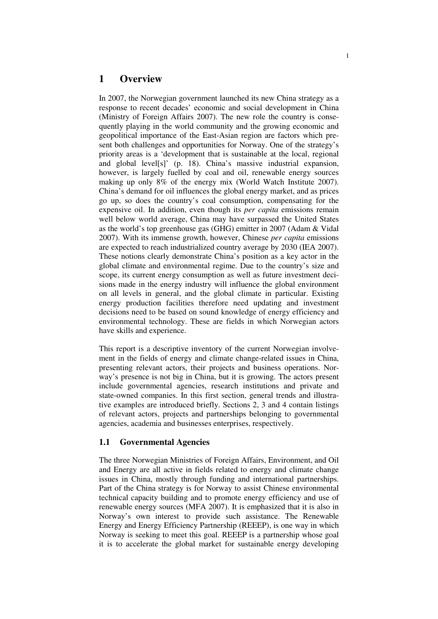# **1 Overview**

In 2007, the Norwegian government launched its new China strategy as a response to recent decades' economic and social development in China (Ministry of Foreign Affairs 2007). The new role the country is consequently playing in the world community and the growing economic and geopolitical importance of the East-Asian region are factors which present both challenges and opportunities for Norway. One of the strategy's priority areas is a 'development that is sustainable at the local, regional and global level[s]' (p. 18). China's massive industrial expansion, however, is largely fuelled by coal and oil, renewable energy sources making up only 8% of the energy mix (World Watch Institute 2007). China's demand for oil influences the global energy market, and as prices go up, so does the country's coal consumption, compensating for the expensive oil. In addition, even though its *per capita* emissions remain well below world average, China may have surpassed the United States as the world's top greenhouse gas (GHG) emitter in 2007 (Adam & Vidal 2007). With its immense growth, however, Chinese *per capita* emissions are expected to reach industrialized country average by 2030 (IEA 2007). These notions clearly demonstrate China's position as a key actor in the global climate and environmental regime. Due to the country's size and scope, its current energy consumption as well as future investment decisions made in the energy industry will influence the global environment on all levels in general, and the global climate in particular. Existing energy production facilities therefore need updating and investment decisions need to be based on sound knowledge of energy efficiency and environmental technology. These are fields in which Norwegian actors have skills and experience.

This report is a descriptive inventory of the current Norwegian involvement in the fields of energy and climate change-related issues in China, presenting relevant actors, their projects and business operations. Norway's presence is not big in China, but it is growing. The actors present include governmental agencies, research institutions and private and state-owned companies. In this first section, general trends and illustrative examples are introduced briefly. Sections 2, 3 and 4 contain listings of relevant actors, projects and partnerships belonging to governmental agencies, academia and businesses enterprises, respectively.

#### **1.1 Governmental Agencies**

The three Norwegian Ministries of Foreign Affairs, Environment, and Oil and Energy are all active in fields related to energy and climate change issues in China, mostly through funding and international partnerships. Part of the China strategy is for Norway to assist Chinese environmental technical capacity building and to promote energy efficiency and use of renewable energy sources (MFA 2007). It is emphasized that it is also in Norway's own interest to provide such assistance. The Renewable Energy and Energy Efficiency Partnership (REEEP), is one way in which Norway is seeking to meet this goal. REEEP is a partnership whose goal it is to accelerate the global market for sustainable energy developing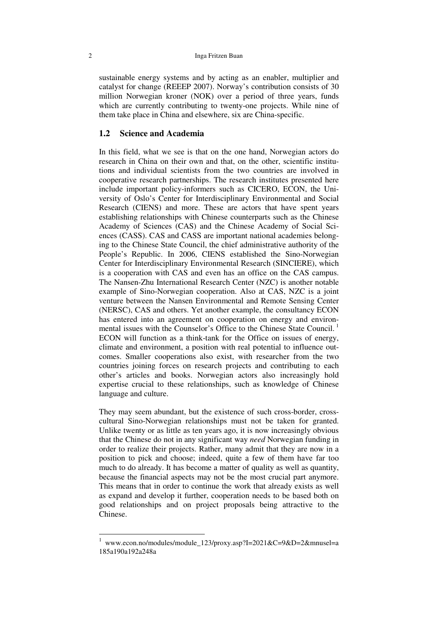#### 2 Inga Fritzen Buan

sustainable energy systems and by acting as an enabler, multiplier and catalyst for change (REEEP 2007). Norway's contribution consists of 30 million Norwegian kroner (NOK) over a period of three years, funds which are currently contributing to twenty-one projects. While nine of them take place in China and elsewhere, six are China-specific.

## **1.2 Science and Academia**

In this field, what we see is that on the one hand, Norwegian actors do research in China on their own and that, on the other, scientific institutions and individual scientists from the two countries are involved in cooperative research partnerships. The research institutes presented here include important policy-informers such as CICERO, ECON, the University of Oslo's Center for Interdisciplinary Environmental and Social Research (CIENS) and more. These are actors that have spent years establishing relationships with Chinese counterparts such as the Chinese Academy of Sciences (CAS) and the Chinese Academy of Social Sciences (CASS). CAS and CASS are important national academies belonging to the Chinese State Council, the chief administrative authority of the People's Republic. In 2006, CIENS established the Sino-Norwegian Center for Interdisciplinary Environmental Research (SINCIERE), which is a cooperation with CAS and even has an office on the CAS campus. The Nansen-Zhu International Research Center (NZC) is another notable example of Sino-Norwegian cooperation. Also at CAS, NZC is a joint venture between the Nansen Environmental and Remote Sensing Center (NERSC), CAS and others. Yet another example, the consultancy ECON has entered into an agreement on cooperation on energy and environmental issues with the Counselor's Office to the Chinese State Council.<sup>1</sup> ECON will function as a think-tank for the Office on issues of energy, climate and environment, a position with real potential to influence outcomes. Smaller cooperations also exist, with researcher from the two countries joining forces on research projects and contributing to each other's articles and books. Norwegian actors also increasingly hold expertise crucial to these relationships, such as knowledge of Chinese language and culture.

They may seem abundant, but the existence of such cross-border, crosscultural Sino-Norwegian relationships must not be taken for granted. Unlike twenty or as little as ten years ago, it is now increasingly obvious that the Chinese do not in any significant way *need* Norwegian funding in order to realize their projects. Rather, many admit that they are now in a position to pick and choose; indeed, quite a few of them have far too much to do already. It has become a matter of quality as well as quantity, because the financial aspects may not be the most crucial part anymore. This means that in order to continue the work that already exists as well as expand and develop it further, cooperation needs to be based both on good relationships and on project proposals being attractive to the Chinese.

 1 www.econ.no/modules/module\_123/proxy.asp?I=2021&C=9&D=2&mnusel=a 185a190a192a248a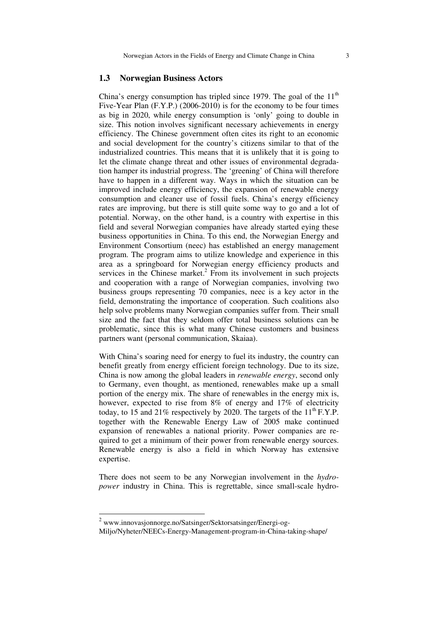#### **1.3 Norwegian Business Actors**

China's energy consumption has tripled since 1979. The goal of the  $11<sup>th</sup>$ Five-Year Plan (F.Y.P.) (2006-2010) is for the economy to be four times as big in 2020, while energy consumption is 'only' going to double in size. This notion involves significant necessary achievements in energy efficiency. The Chinese government often cites its right to an economic and social development for the country's citizens similar to that of the industrialized countries. This means that it is unlikely that it is going to let the climate change threat and other issues of environmental degradation hamper its industrial progress. The 'greening' of China will therefore have to happen in a different way. Ways in which the situation can be improved include energy efficiency, the expansion of renewable energy consumption and cleaner use of fossil fuels. China's energy efficiency rates are improving, but there is still quite some way to go and a lot of potential. Norway, on the other hand, is a country with expertise in this field and several Norwegian companies have already started eying these business opportunities in China. To this end, the Norwegian Energy and Environment Consortium (neec) has established an energy management program. The program aims to utilize knowledge and experience in this area as a springboard for Norwegian energy efficiency products and services in the Chinese market. $2$  From its involvement in such projects and cooperation with a range of Norwegian companies, involving two business groups representing 70 companies, neec is a key actor in the field, demonstrating the importance of cooperation. Such coalitions also help solve problems many Norwegian companies suffer from. Their small size and the fact that they seldom offer total business solutions can be problematic, since this is what many Chinese customers and business partners want (personal communication, Skaiaa).

With China's soaring need for energy to fuel its industry, the country can benefit greatly from energy efficient foreign technology. Due to its size, China is now among the global leaders in *renewable energy*, second only to Germany, even thought, as mentioned, renewables make up a small portion of the energy mix. The share of renewables in the energy mix is, however, expected to rise from 8% of energy and 17% of electricity today, to 15 and 21% respectively by 2020. The targets of the  $11^{th}$  F.Y.P. together with the Renewable Energy Law of 2005 make continued expansion of renewables a national priority. Power companies are required to get a minimum of their power from renewable energy sources. Renewable energy is also a field in which Norway has extensive expertise.

There does not seem to be any Norwegian involvement in the *hydropower* industry in China. This is regrettable, since small-scale hydro-

<sup>&</sup>lt;sup>2</sup> www.innovasjonnorge.no/Satsinger/Sektorsatsinger/Energi-og-

Miljo/Nyheter/NEECs-Energy-Management-program-in-China-taking-shape/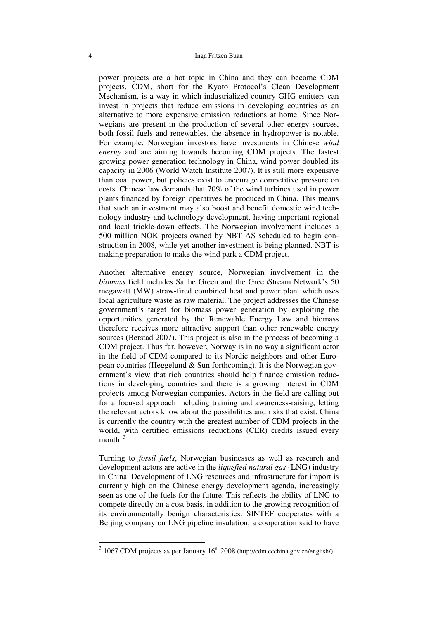#### 4 Inga Fritzen Buan

power projects are a hot topic in China and they can become CDM projects. CDM, short for the Kyoto Protocol's Clean Development Mechanism, is a way in which industrialized country GHG emitters can invest in projects that reduce emissions in developing countries as an alternative to more expensive emission reductions at home. Since Norwegians are present in the production of several other energy sources, both fossil fuels and renewables, the absence in hydropower is notable. For example, Norwegian investors have investments in Chinese *wind energy* and are aiming towards becoming CDM projects. The fastest growing power generation technology in China, wind power doubled its capacity in 2006 (World Watch Institute 2007). It is still more expensive than coal power, but policies exist to encourage competitive pressure on costs. Chinese law demands that 70% of the wind turbines used in power plants financed by foreign operatives be produced in China. This means that such an investment may also boost and benefit domestic wind technology industry and technology development, having important regional and local trickle-down effects. The Norwegian involvement includes a 500 million NOK projects owned by NBT AS scheduled to begin construction in 2008, while yet another investment is being planned. NBT is making preparation to make the wind park a CDM project.

Another alternative energy source, Norwegian involvement in the *biomass* field includes Sanhe Green and the GreenStream Network's 50 megawatt (MW) straw-fired combined heat and power plant which uses local agriculture waste as raw material. The project addresses the Chinese government's target for biomass power generation by exploiting the opportunities generated by the Renewable Energy Law and biomass therefore receives more attractive support than other renewable energy sources (Berstad 2007). This project is also in the process of becoming a CDM project. Thus far, however, Norway is in no way a significant actor in the field of CDM compared to its Nordic neighbors and other European countries (Heggelund & Sun forthcoming). It is the Norwegian government's view that rich countries should help finance emission reductions in developing countries and there is a growing interest in CDM projects among Norwegian companies. Actors in the field are calling out for a focused approach including training and awareness-raising, letting the relevant actors know about the possibilities and risks that exist. China is currently the country with the greatest number of CDM projects in the world, with certified emissions reductions (CER) credits issued every month $3$ 

Turning to *fossil fuels*, Norwegian businesses as well as research and development actors are active in the *liquefied natural gas* (LNG) industry in China. Development of LNG resources and infrastructure for import is currently high on the Chinese energy development agenda, increasingly seen as one of the fuels for the future. This reflects the ability of LNG to compete directly on a cost basis, in addition to the growing recognition of its environmentally benign characteristics. SINTEF cooperates with a Beijing company on LNG pipeline insulation, a cooperation said to have

 $3\overline{1067}$  CDM projects as per January  $16^{\text{th}}$  2008 (http://cdm.ccchina.gov.cn/english/).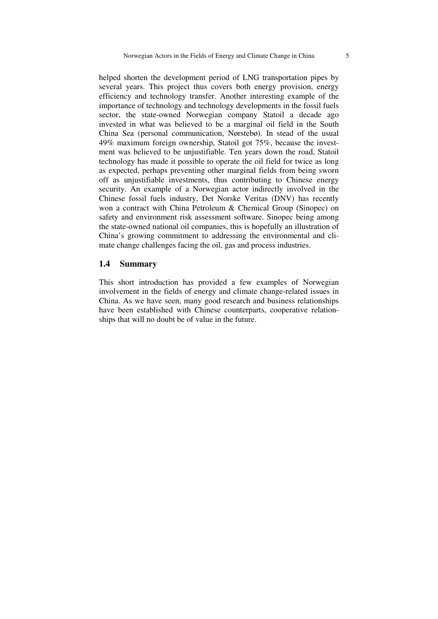helped shorten the development period of LNG transportation pipes by several years. This project thus covers both energy provision, energy efficiency and technology transfer. Another interesting example of the importance of technology and technology developments in the fossil fuels sector, the state-owned Norwegian company Statoil a decade ago invested in what was believed to be a marginal oil field in the South China Sea (personal communication, Nørstebø). In stead of the usual 49% maximum foreign ownership, Statoil got 75%, because the investment was believed to be unjustifiable. Ten years down the road, Statoil technology has made it possible to operate the oil field for twice as long as expected, perhaps preventing other marginal fields from being sworn off as unjustifiable investments, thus contributing to Chinese energy security. An example of a Norwegian actor indirectly involved in the Chinese fossil fuels industry, Det Norske Veritas (DNV) has recently won a contract with China Petroleum & Chemical Group (Sinopec) on safety and environment risk assessment software. Sinopec being among the state-owned national oil companies, this is hopefully an illustration of China's growing commitment to addressing the environmental and climate change challenges facing the oil, gas and process industries.

#### **1.4 Summary**

This short introduction has provided a few examples of Norwegian involvement in the fields of energy and climate change-related issues in China. As we have seen, many good research and business relationships have been established with Chinese counterparts, cooperative relationships that will no doubt be of value in the future.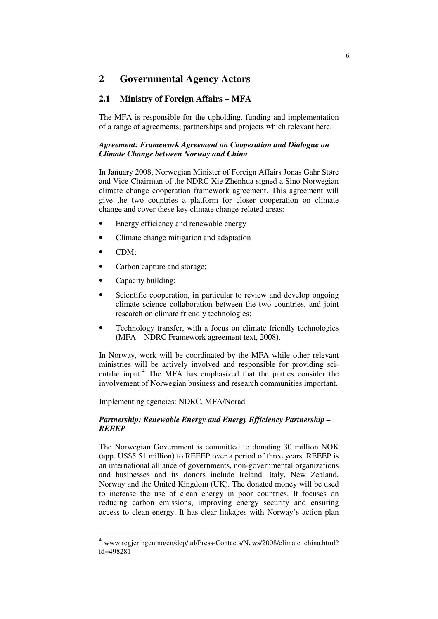# **2 Governmental Agency Actors**

# **2.1 Ministry of Foreign Affairs – MFA**

The MFA is responsible for the upholding, funding and implementation of a range of agreements, partnerships and projects which relevant here.

#### *Agreement: Framework Agreement on Cooperation and Dialogue on Climate Change between Norway and China*

In January 2008, Norwegian Minister of Foreign Affairs Jonas Gahr Støre and Vice-Chairman of the NDRC Xie Zhenhua signed a Sino-Norwegian climate change cooperation framework agreement. This agreement will give the two countries a platform for closer cooperation on climate change and cover these key climate change-related areas:

- Energy efficiency and renewable energy
- Climate change mitigation and adaptation
- CDM;
- Carbon capture and storage;
- Capacity building;
- Scientific cooperation, in particular to review and develop ongoing climate science collaboration between the two countries, and joint research on climate friendly technologies;
- Technology transfer, with a focus on climate friendly technologies (MFA – NDRC Framework agreement text, 2008).

In Norway, work will be coordinated by the MFA while other relevant ministries will be actively involved and responsible for providing scientific input.<sup>4</sup> The MFA has emphasized that the parties consider the involvement of Norwegian business and research communities important.

Implementing agencies: NDRC, MFA/Norad.

#### *Partnership: Renewable Energy and Energy Efficiency Partnership – REEEP*

The Norwegian Government is committed to donating 30 million NOK (app. US\$5.51 million) to REEEP over a period of three years. REEEP is an international alliance of governments, non-governmental organizations and businesses and its donors include Ireland, Italy, New Zealand, Norway and the United Kingdom (UK). The donated money will be used to increase the use of clean energy in poor countries. It focuses on reducing carbon emissions, improving energy security and ensuring access to clean energy. It has clear linkages with Norway's action plan

 4 www.regjeringen.no/en/dep/ud/Press-Contacts/News/2008/climate\_china.html? id=498281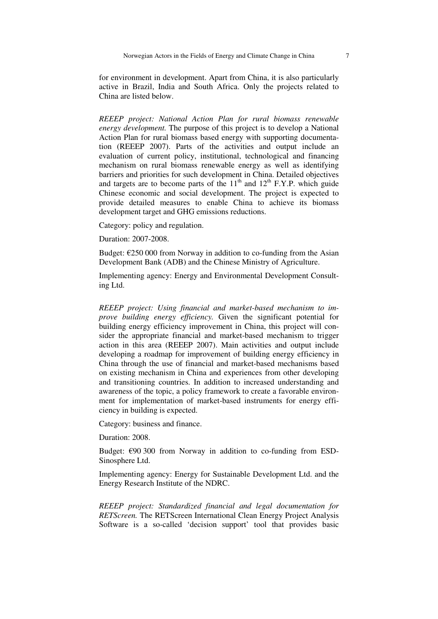for environment in development. Apart from China, it is also particularly active in Brazil, India and South Africa. Only the projects related to China are listed below.

*REEEP project: National Action Plan for rural biomass renewable energy development.* The purpose of this project is to develop a National Action Plan for rural biomass based energy with supporting documentation (REEEP 2007). Parts of the activities and output include an evaluation of current policy, institutional, technological and financing mechanism on rural biomass renewable energy as well as identifying barriers and priorities for such development in China. Detailed objectives and targets are to become parts of the  $11<sup>th</sup>$  and  $12<sup>th</sup>$  F.Y.P. which guide Chinese economic and social development. The project is expected to provide detailed measures to enable China to achieve its biomass development target and GHG emissions reductions.

Category: policy and regulation.

Duration: 2007-2008.

Budget:  $\epsilon$ 250 000 from Norway in addition to co-funding from the Asian Development Bank (ADB) and the Chinese Ministry of Agriculture.

Implementing agency: Energy and Environmental Development Consulting Ltd.

*REEEP project: Using financial and market-based mechanism to improve building energy efficiency.* Given the significant potential for building energy efficiency improvement in China, this project will consider the appropriate financial and market-based mechanism to trigger action in this area (REEEP 2007). Main activities and output include developing a roadmap for improvement of building energy efficiency in China through the use of financial and market-based mechanisms based on existing mechanism in China and experiences from other developing and transitioning countries. In addition to increased understanding and awareness of the topic, a policy framework to create a favorable environment for implementation of market-based instruments for energy efficiency in building is expected.

Category: business and finance.

Duration: 2008.

Budget: €90 300 from Norway in addition to co-funding from ESD-Sinosphere Ltd.

Implementing agency: Energy for Sustainable Development Ltd. and the Energy Research Institute of the NDRC.

*REEEP project: Standardized financial and legal documentation for RETScreen.* The RETScreen International Clean Energy Project Analysis Software is a so-called 'decision support' tool that provides basic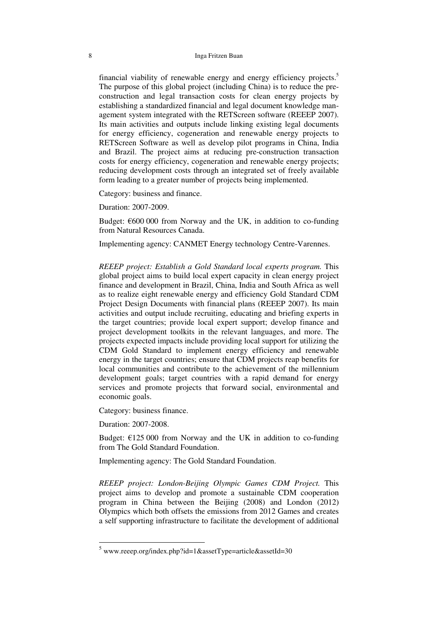#### 8 Inga Fritzen Buan

financial viability of renewable energy and energy efficiency projects.<sup>5</sup> The purpose of this global project (including China) is to reduce the preconstruction and legal transaction costs for clean energy projects by establishing a standardized financial and legal document knowledge management system integrated with the RETScreen software (REEEP 2007). Its main activities and outputs include linking existing legal documents for energy efficiency, cogeneration and renewable energy projects to RETScreen Software as well as develop pilot programs in China, India and Brazil. The project aims at reducing pre-construction transaction costs for energy efficiency, cogeneration and renewable energy projects; reducing development costs through an integrated set of freely available form leading to a greater number of projects being implemented.

Category: business and finance.

Duration: 2007-2009.

Budget: €600 000 from Norway and the UK, in addition to co-funding from Natural Resources Canada.

Implementing agency: CANMET Energy technology Centre-Varennes.

*REEEP project: Establish a Gold Standard local experts program.* This global project aims to build local expert capacity in clean energy project finance and development in Brazil, China, India and South Africa as well as to realize eight renewable energy and efficiency Gold Standard CDM Project Design Documents with financial plans (REEEP 2007). Its main activities and output include recruiting, educating and briefing experts in the target countries; provide local expert support; develop finance and project development toolkits in the relevant languages, and more. The projects expected impacts include providing local support for utilizing the CDM Gold Standard to implement energy efficiency and renewable energy in the target countries; ensure that CDM projects reap benefits for local communities and contribute to the achievement of the millennium development goals; target countries with a rapid demand for energy services and promote projects that forward social, environmental and economic goals.

Category: business finance.

Duration: 2007-2008.

-

Budget:  $\epsilon$ 125 000 from Norway and the UK in addition to co-funding from The Gold Standard Foundation.

Implementing agency: The Gold Standard Foundation.

*REEEP project: London-Beijing Olympic Games CDM Project.* This project aims to develop and promote a sustainable CDM cooperation program in China between the Beijing (2008) and London (2012) Olympics which both offsets the emissions from 2012 Games and creates a self supporting infrastructure to facilitate the development of additional

 $5$  www.reeep.org/index.php?id=1&assetType=article&assetId=30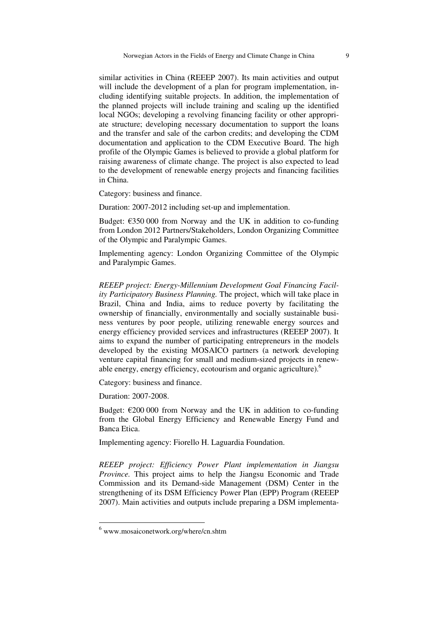similar activities in China (REEEP 2007). Its main activities and output will include the development of a plan for program implementation, including identifying suitable projects. In addition, the implementation of the planned projects will include training and scaling up the identified local NGOs; developing a revolving financing facility or other appropriate structure; developing necessary documentation to support the loans and the transfer and sale of the carbon credits; and developing the CDM documentation and application to the CDM Executive Board. The high profile of the Olympic Games is believed to provide a global platform for raising awareness of climate change. The project is also expected to lead to the development of renewable energy projects and financing facilities in China.

Category: business and finance.

Duration: 2007-2012 including set-up and implementation.

Budget:  $\epsilon$ 350 000 from Norway and the UK in addition to co-funding from London 2012 Partners/Stakeholders, London Organizing Committee of the Olympic and Paralympic Games.

Implementing agency: London Organizing Committee of the Olympic and Paralympic Games.

*REEEP project: Energy-Millennium Development Goal Financing Facility Participatory Business Planning.* The project, which will take place in Brazil, China and India, aims to reduce poverty by facilitating the ownership of financially, environmentally and socially sustainable business ventures by poor people, utilizing renewable energy sources and energy efficiency provided services and infrastructures (REEEP 2007). It aims to expand the number of participating entrepreneurs in the models developed by the existing MOSAICO partners (a network developing venture capital financing for small and medium-sized projects in renewable energy, energy efficiency, ecotourism and organic agriculture).<sup>6</sup>

Category: business and finance.

Duration: 2007-2008.

-

Budget:  $\epsilon$ 200 000 from Norway and the UK in addition to co-funding from the Global Energy Efficiency and Renewable Energy Fund and Banca Etica.

Implementing agency: Fiorello H. Laguardia Foundation.

*REEEP project: Efficiency Power Plant implementation in Jiangsu Province*. This project aims to help the Jiangsu Economic and Trade Commission and its Demand-side Management (DSM) Center in the strengthening of its DSM Efficiency Power Plan (EPP) Program (REEEP 2007). Main activities and outputs include preparing a DSM implementa-

<sup>6</sup> www.mosaiconetwork.org/where/cn.shtm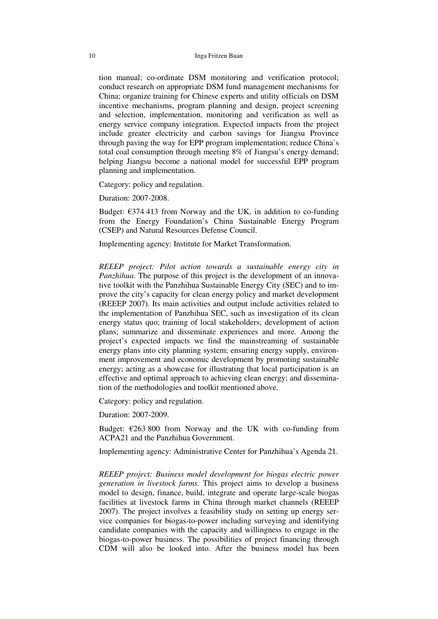#### 10 Inga Fritzen Buan

tion manual; co-ordinate DSM monitoring and verification protocol; conduct research on appropriate DSM fund management mechanisms for China; organize training for Chinese experts and utility officials on DSM incentive mechanisms, program planning and design, project screening and selection, implementation, monitoring and verification as well as energy service company integration. Expected impacts from the project include greater electricity and carbon savings for Jiangsu Province through paving the way for EPP program implementation; reduce China's total coal consumption through meeting 8% of Jiangsu's energy demand; helping Jiangsu become a national model for successful EPP program planning and implementation.

Category: policy and regulation.

Duration: 2007-2008.

Budget:  $\epsilon$ 374 413 from Norway and the UK, in addition to co-funding from the Energy Foundation's China Sustainable Energy Program (CSEP) and Natural Resources Defense Council.

Implementing agency: Institute for Market Transformation.

*REEEP project: Pilot action towards a sustainable energy city in Panzhihua.* The purpose of this project is the development of an innovative toolkit with the Panzhihua Sustainable Energy City (SEC) and to improve the city's capacity for clean energy policy and market development (REEEP 2007). Its main activities and output include activities related to the implementation of Panzhihua SEC, such as investigation of its clean energy status quo; training of local stakeholders; development of action plans; summarize and disseminate experiences and more. Among the project's expected impacts we find the mainstreaming of sustainable energy plans into city planning system; ensuring energy supply, environment improvement and economic development by promoting sustainable energy; acting as a showcase for illustrating that local participation is an effective and optimal approach to achieving clean energy; and dissemination of the methodologies and toolkit mentioned above.

Category: policy and regulation.

Duration: 2007-2009.

Budget:  $\epsilon$ 263 800 from Norway and the UK with co-funding from ACPA21 and the Panzhihua Government.

Implementing agency: Administrative Center for Panzhihua's Agenda 21.

*REEEP project: Business model development for biogas electric power generation in livestock farms.* This project aims to develop a business model to design, finance, build, integrate and operate large-scale biogas facilities at livestock farms in China through market channels (REEEP 2007). The project involves a feasibility study on setting up energy service companies for biogas-to-power including surveying and identifying candidate companies with the capacity and willingness to engage in the biogas-to-power business. The possibilities of project financing through CDM will also be looked into. After the business model has been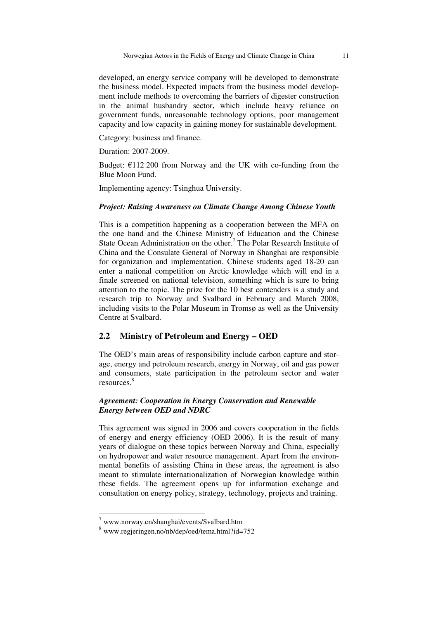developed, an energy service company will be developed to demonstrate the business model. Expected impacts from the business model development include methods to overcoming the barriers of digester construction in the animal husbandry sector, which include heavy reliance on government funds, unreasonable technology options, poor management capacity and low capacity in gaining money for sustainable development.

Category: business and finance.

Duration: 2007-2009.

Budget:  $\epsilon$ 112 200 from Norway and the UK with co-funding from the Blue Moon Fund.

Implementing agency: Tsinghua University.

#### *Project: Raising Awareness on Climate Change Among Chinese Youth*

This is a competition happening as a cooperation between the MFA on the one hand and the Chinese Ministry of Education and the Chinese State Ocean Administration on the other.<sup>7</sup> The Polar Research Institute of China and the Consulate General of Norway in Shanghai are responsible for organization and implementation. Chinese students aged 18-20 can enter a national competition on Arctic knowledge which will end in a finale screened on national television, something which is sure to bring attention to the topic. The prize for the 10 best contenders is a study and research trip to Norway and Svalbard in February and March 2008, including visits to the Polar Museum in Tromsø as well as the University Centre at Svalbard.

#### **2.2 Ministry of Petroleum and Energy – OED**

The OED's main areas of responsibility include carbon capture and storage, energy and petroleum research, energy in Norway, oil and gas power and consumers, state participation in the petroleum sector and water resources<sup>8</sup>

#### *Agreement: Cooperation in Energy Conservation and Renewable Energy between OED and NDRC*

This agreement was signed in 2006 and covers cooperation in the fields of energy and energy efficiency (OED 2006). It is the result of many years of dialogue on these topics between Norway and China, especially on hydropower and water resource management. Apart from the environmental benefits of assisting China in these areas, the agreement is also meant to stimulate internationalization of Norwegian knowledge within these fields. The agreement opens up for information exchange and consultation on energy policy, strategy, technology, projects and training.

<sup>7</sup> www.norway.cn/shanghai/events/Svalbard.htm

<sup>8</sup> www.regjeringen.no/nb/dep/oed/tema.html?id=752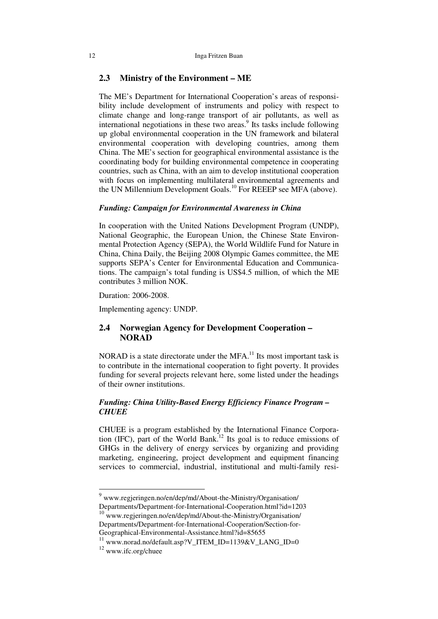#### **2.3 Ministry of the Environment – ME**

The ME's Department for International Cooperation's areas of responsibility include development of instruments and policy with respect to climate change and long-range transport of air pollutants, as well as international negotiations in these two areas.<sup>9</sup> Its tasks include following up global environmental cooperation in the UN framework and bilateral environmental cooperation with developing countries, among them China. The ME's section for geographical environmental assistance is the coordinating body for building environmental competence in cooperating countries, such as China, with an aim to develop institutional cooperation with focus on implementing multilateral environmental agreements and the UN Millennium Development Goals.<sup>10</sup> For REEEP see MFA (above).

#### *Funding: Campaign for Environmental Awareness in China*

In cooperation with the United Nations Development Program (UNDP), National Geographic, the European Union, the Chinese State Environmental Protection Agency (SEPA), the World Wildlife Fund for Nature in China, China Daily, the Beijing 2008 Olympic Games committee, the ME supports SEPA's Center for Environmental Education and Communications. The campaign's total funding is US\$4.5 million, of which the ME contributes 3 million NOK.

Duration: 2006-2008.

Implementing agency: UNDP.

# **2.4 Norwegian Agency for Development Cooperation – NORAD**

NORAD is a state directorate under the  $MFA$ <sup>11</sup> Its most important task is to contribute in the international cooperation to fight poverty. It provides funding for several projects relevant here, some listed under the headings of their owner institutions.

#### *Funding: China Utility-Based Energy Efficiency Finance Program – CHUEE*

CHUEE is a program established by the International Finance Corporation (IFC), part of the World Bank.<sup>12</sup> Its goal is to reduce emissions of GHGs in the delivery of energy services by organizing and providing marketing, engineering, project development and equipment financing services to commercial, industrial, institutional and multi-family resi-

<sup>&</sup>lt;sup>9</sup> www.regjeringen.no/en/dep/md/About-the-Ministry/Organisation/ Departments/Department-for-International-Cooperation.html?id=1203

<sup>10</sup> www.regjeringen.no/en/dep/md/About-the-Ministry/Organisation/ Departments/Department-for-International-Cooperation/Section-for-Geographical-Environmental-Assistance.html?id=85655

<sup>&</sup>lt;sup>11</sup> www.norad.no/default.asp?V\_ITEM\_ID=1139&V\_LANG\_ID=0

<sup>12</sup> www.ifc.org/chuee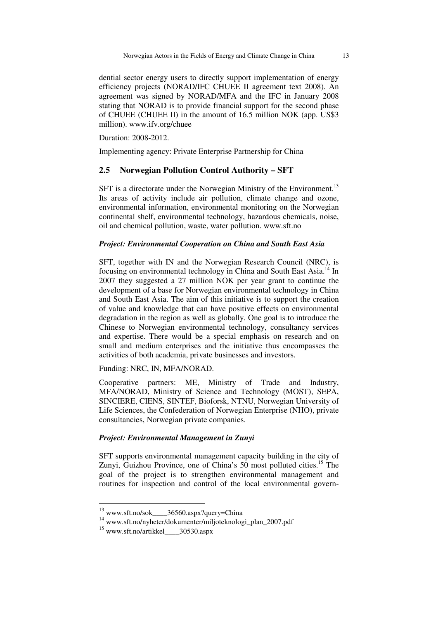dential sector energy users to directly support implementation of energy efficiency projects (NORAD/IFC CHUEE II agreement text 2008). An agreement was signed by NORAD/MFA and the IFC in January 2008 stating that NORAD is to provide financial support for the second phase of CHUEE (CHUEE II) in the amount of 16.5 million NOK (app. US\$3 million). www.ifv.org/chuee

Duration: 2008-2012.

Implementing agency: Private Enterprise Partnership for China

## **2.5 Norwegian Pollution Control Authority – SFT**

SFT is a directorate under the Norwegian Ministry of the Environment.<sup>13</sup> Its areas of activity include air pollution, climate change and ozone, environmental information, environmental monitoring on the Norwegian continental shelf, environmental technology, hazardous chemicals, noise, oil and chemical pollution, waste, water pollution. www.sft.no

#### *Project: Environmental Cooperation on China and South East Asia*

SFT, together with IN and the Norwegian Research Council (NRC), is focusing on environmental technology in China and South East Asia.<sup>14</sup> In 2007 they suggested a 27 million NOK per year grant to continue the development of a base for Norwegian environmental technology in China and South East Asia. The aim of this initiative is to support the creation of value and knowledge that can have positive effects on environmental degradation in the region as well as globally. One goal is to introduce the Chinese to Norwegian environmental technology, consultancy services and expertise. There would be a special emphasis on research and on small and medium enterprises and the initiative thus encompasses the activities of both academia, private businesses and investors.

Funding: NRC, IN, MFA/NORAD.

Cooperative partners: ME, Ministry of Trade and Industry, MFA/NORAD, Ministry of Science and Technology (MOST), SEPA, SINCIERE, CIENS, SINTEF, Bioforsk, NTNU, Norwegian University of Life Sciences, the Confederation of Norwegian Enterprise (NHO), private consultancies, Norwegian private companies.

#### *Project: Environmental Management in Zunyi*

SFT supports environmental management capacity building in the city of Zunyi, Guizhou Province, one of China's 50 most polluted cities.<sup>15</sup> The goal of the project is to strengthen environmental management and routines for inspection and control of the local environmental govern-

<sup>&</sup>lt;sup>13</sup> www.sft.no/sok\_\_\_\_36560.aspx?query=China

<sup>14</sup> www.sft.no/nyheter/dokumenter/miljoteknologi\_plan\_2007.pdf

 $^{15}$  www.sft.no/artikkel  $^{30530.35}$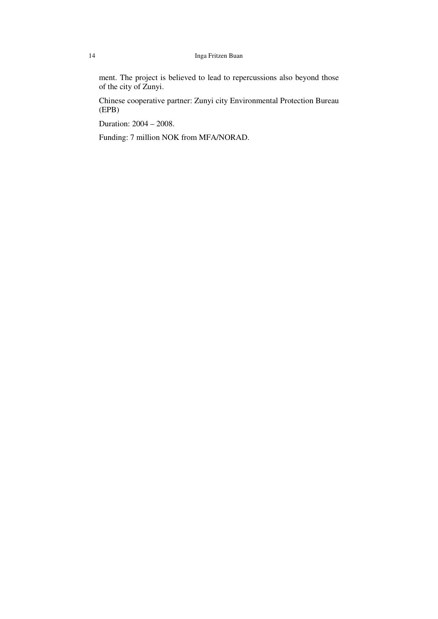#### 14 Inga Fritzen Buan

ment. The project is believed to lead to repercussions also beyond those of the city of Zunyi.

Chinese cooperative partner: Zunyi city Environmental Protection Bureau (EPB)

Duration: 2004 – 2008.

Funding: 7 million NOK from MFA/NORAD.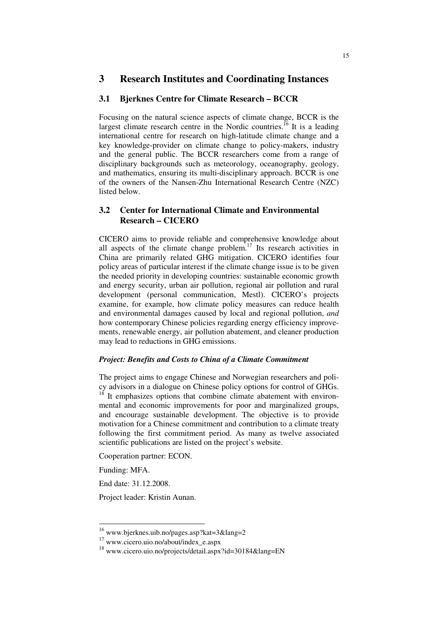# **3 Research Institutes and Coordinating Instances**

#### **3.1 Bjerknes Centre for Climate Research – BCCR**

Focusing on the natural science aspects of climate change, BCCR is the largest climate research centre in the Nordic countries.<sup>16</sup> It is a leading international centre for research on high-latitude climate change and a key knowledge-provider on climate change to policy-makers, industry and the general public. The BCCR researchers come from a range of disciplinary backgrounds such as meteorology, oceanography, geology, and mathematics, ensuring its multi-disciplinary approach. BCCR is one of the owners of the Nansen-Zhu International Research Centre (NZC) listed below.

# **3.2 Center for International Climate and Environmental Research – CICERO**

CICERO aims to provide reliable and comprehensive knowledge about all aspects of the climate change problem.<sup>17</sup> Its research activities in China are primarily related GHG mitigation. CICERO identifies four policy areas of particular interest if the climate change issue is to be given the needed priority in developing countries: sustainable economic growth and energy security, urban air pollution, regional air pollution and rural development (personal communication, Mestl). CICERO's projects examine, for example, how climate policy measures can reduce health and environmental damages caused by local and regional pollution, *and* how contemporary Chinese policies regarding energy efficiency improvements, renewable energy, air pollution abatement, and cleaner production may lead to reductions in GHG emissions.

#### *Project: Benefits and Costs to China of a Climate Commitment*

The project aims to engage Chinese and Norwegian researchers and policy advisors in a dialogue on Chinese policy options for control of GHGs.  $18<sup>18</sup>$  It emphasizes options that combine climate abatement with environmental and economic improvements for poor and marginalized groups, and encourage sustainable development. The objective is to provide motivation for a Chinese commitment and contribution to a climate treaty following the first commitment period. As many as twelve associated scientific publications are listed on the project's website.

Cooperation partner: ECON.

Funding: MFA.

<u>.</u>

End date: 31.12.2008.

Project leader: Kristin Aunan.

<sup>16</sup> www.bjerknes.uib.no/pages.asp?kat=3&lang=2

<sup>&</sup>lt;sup>17</sup> www.cicero.uio.no/about/index\_e.aspx

<sup>18</sup> www.cicero.uio.no/projects/detail.aspx?id=30184&lang=EN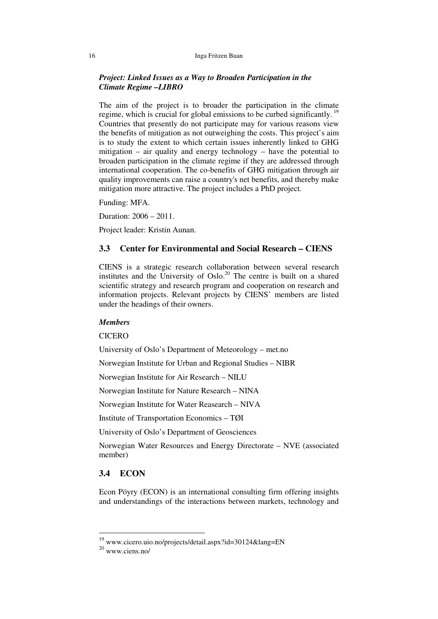#### 16 Inga Fritzen Buan

#### *Project: Linked Issues as a Way to Broaden Participation in the Climate Regime –LIBRO*

The aim of the project is to broader the participation in the climate regime, which is crucial for global emissions to be curbed significantly.<sup>19</sup> Countries that presently do not participate may for various reasons view the benefits of mitigation as not outweighing the costs. This project's aim is to study the extent to which certain issues inherently linked to GHG mitigation – air quality and energy technology – have the potential to broaden participation in the climate regime if they are addressed through international cooperation. The co-benefits of GHG mitigation through air quality improvements can raise a country's net benefits, and thereby make mitigation more attractive. The project includes a PhD project.

Funding: MFA.

Duration: 2006 – 2011.

Project leader: Kristin Aunan.

#### **3.3 Center for Environmental and Social Research – CIENS**

CIENS is a strategic research collaboration between several research institutes and the University of Oslo.<sup>20</sup> The centre is built on a shared scientific strategy and research program and cooperation on research and information projects. Relevant projects by CIENS' members are listed under the headings of their owners.

#### *Members*

**CICERO** 

University of Oslo's Department of Meteorology – met.no

Norwegian Institute for Urban and Regional Studies – NIBR

Norwegian Institute for Air Research – NILU

Norwegian Institute for Nature Research – NINA

Norwegian Institute for Water Reasearch – NIVA

Institute of Transportation Economics – TØI

University of Oslo's Department of Geosciences

Norwegian Water Resources and Energy Directorate – NVE (associated member)

#### **3.4 ECON**

Econ Pöyry (ECON) is an international consulting firm offering insights and understandings of the interactions between markets, technology and

<sup>&</sup>lt;sup>19</sup> www.cicero.uio.no/projects/detail.aspx?id=30124&lang=EN

<sup>20</sup> www.ciens.no/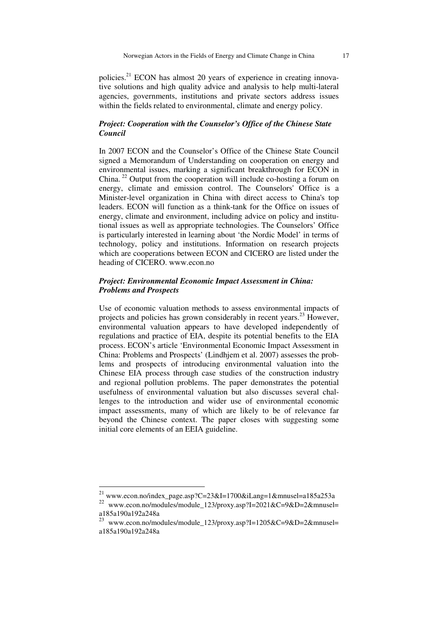policies.<sup>21</sup> ECON has almost 20 years of experience in creating innovative solutions and high quality advice and analysis to help multi-lateral agencies, governments, institutions and private sectors address issues within the fields related to environmental, climate and energy policy.

#### *Project: Cooperation with the Counselor's Office of the Chinese State Council*

In 2007 ECON and the Counselor's Office of the Chinese State Council signed a Memorandum of Understanding on cooperation on energy and environmental issues, marking a significant breakthrough for ECON in China.<sup>22</sup> Output from the cooperation will include co-hosting a forum on energy, climate and emission control. The Counselors' Office is a Minister-level organization in China with direct access to China's top leaders. ECON will function as a think-tank for the Office on issues of energy, climate and environment, including advice on policy and institutional issues as well as appropriate technologies. The Counselors' Office is particularly interested in learning about 'the Nordic Model' in terms of technology, policy and institutions. Information on research projects which are cooperations between ECON and CICERO are listed under the heading of CICERO. www.econ.no

#### *Project: Environmental Economic Impact Assessment in China: Problems and Prospects*

Use of economic valuation methods to assess environmental impacts of projects and policies has grown considerably in recent years.<sup>23</sup> However, environmental valuation appears to have developed independently of regulations and practice of EIA, despite its potential benefits to the EIA process. ECON's article 'Environmental Economic Impact Assessment in China: Problems and Prospects' (Lindhjem et al. 2007) assesses the problems and prospects of introducing environmental valuation into the Chinese EIA process through case studies of the construction industry and regional pollution problems. The paper demonstrates the potential usefulness of environmental valuation but also discusses several challenges to the introduction and wider use of environmental economic impact assessments, many of which are likely to be of relevance far beyond the Chinese context. The paper closes with suggesting some initial core elements of an EEIA guideline.

<sup>&</sup>lt;sup>21</sup> www.econ.no/index\_page.asp?C=23&I=1700&iLang=1&mnusel=a185a253a

<sup>22</sup> www.econ.no/modules/module\_123/proxy.asp?I=2021&C=9&D=2&mnusel= a185a190a192a248a

<sup>23</sup> www.econ.no/modules/module\_123/proxy.asp?I=1205&C=9&D=2&mnusel= a185a190a192a248a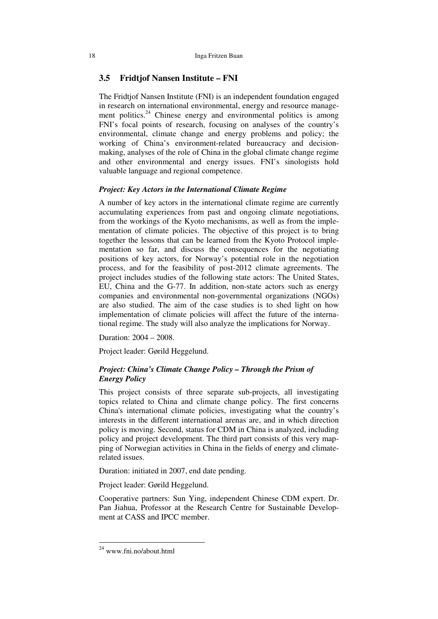### **3.5 Fridtjof Nansen Institute – FNI**

The Fridtjof Nansen Institute (FNI) is an independent foundation engaged in research on international environmental, energy and resource management politics.<sup>24</sup> Chinese energy and environmental politics is among FNI's focal points of research, focusing on analyses of the country's environmental, climate change and energy problems and policy; the working of China's environment-related bureaucracy and decisionmaking, analyses of the role of China in the global climate change regime and other environmental and energy issues. FNI's sinologists hold valuable language and regional competence.

#### *Project: Key Actors in the International Climate Regime*

A number of key actors in the international climate regime are currently accumulating experiences from past and ongoing climate negotiations, from the workings of the Kyoto mechanisms, as well as from the implementation of climate policies. The objective of this project is to bring together the lessons that can be learned from the Kyoto Protocol implementation so far, and discuss the consequences for the negotiating positions of key actors, for Norway's potential role in the negotiation process, and for the feasibility of post-2012 climate agreements. The project includes studies of the following state actors: The United States, EU, China and the G-77. In addition, non-state actors such as energy companies and environmental non-governmental organizations (NGOs) are also studied. The aim of the case studies is to shed light on how implementation of climate policies will affect the future of the international regime. The study will also analyze the implications for Norway.

Duration: 2004 – 2008.

Project leader: Gørild Heggelund.

#### *Project: China's Climate Change Policy – Through the Prism of Energy Policy*

This project consists of three separate sub-projects, all investigating topics related to China and climate change policy. The first concerns China's international climate policies, investigating what the country's interests in the different international arenas are, and in which direction policy is moving. Second, status for CDM in China is analyzed, including policy and project development. The third part consists of this very mapping of Norwegian activities in China in the fields of energy and climaterelated issues.

Duration: initiated in 2007, end date pending.

Project leader: Gørild Heggelund.

Cooperative partners: Sun Ying, independent Chinese CDM expert. Dr. Pan Jiahua, Professor at the Research Centre for Sustainable Development at CASS and IPCC member.

 $^{24}$  www.fni.no/about.html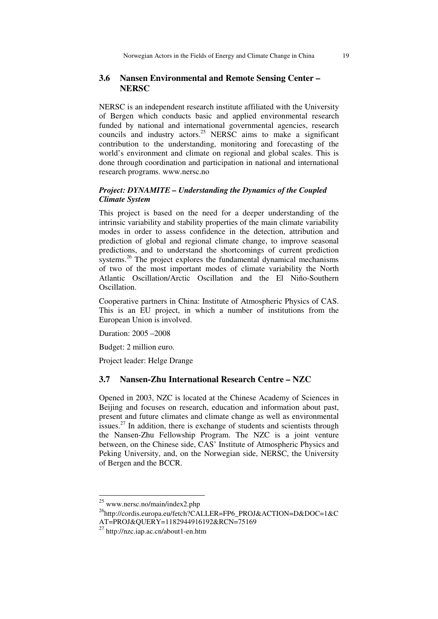#### **3.6 Nansen Environmental and Remote Sensing Center – NERSC**

NERSC is an independent research institute affiliated with the University of Bergen which conducts basic and applied environmental research funded by national and international governmental agencies, research councils and industry actors.<sup>25</sup> NERSC aims to make a significant contribution to the understanding, monitoring and forecasting of the world's environment and climate on regional and global scales. This is done through coordination and participation in national and international research programs. www.nersc.no

## *Project: DYNAMITE – Understanding the Dynamics of the Coupled Climate System*

This project is based on the need for a deeper understanding of the intrinsic variability and stability properties of the main climate variability modes in order to assess confidence in the detection, attribution and prediction of global and regional climate change, to improve seasonal predictions, and to understand the shortcomings of current prediction systems.<sup>26</sup> The project explores the fundamental dynamical mechanisms of two of the most important modes of climate variability the North Atlantic Oscillation/Arctic Oscillation and the El Niño-Southern Oscillation.

Cooperative partners in China: Institute of Atmospheric Physics of CAS. This is an EU project, in which a number of institutions from the European Union is involved.

Duration: 2005 –2008

Budget: 2 million euro.

Project leader: Helge Drange

#### **3.7 Nansen-Zhu International Research Centre – NZC**

Opened in 2003, NZC is located at the Chinese Academy of Sciences in Beijing and focuses on research, education and information about past, present and future climates and climate change as well as environmental issues.<sup>27</sup> In addition, there is exchange of students and scientists through the Nansen-Zhu Fellowship Program. The NZC is a joint venture between, on the Chinese side, CAS' Institute of Atmospheric Physics and Peking University, and, on the Norwegian side, NERSC, the University of Bergen and the BCCR.

<sup>&</sup>lt;sup>25</sup> www.nersc.no/main/index2.php

<sup>26</sup>http://cordis.europa.eu/fetch?CALLER=FP6\_PROJ&ACTION=D&DOC=1&C

AT=PROJ&OUERY=1182944916192&RCN=75169

 $^{27}$  http://nzc.iap.ac.cn/about1-en.htm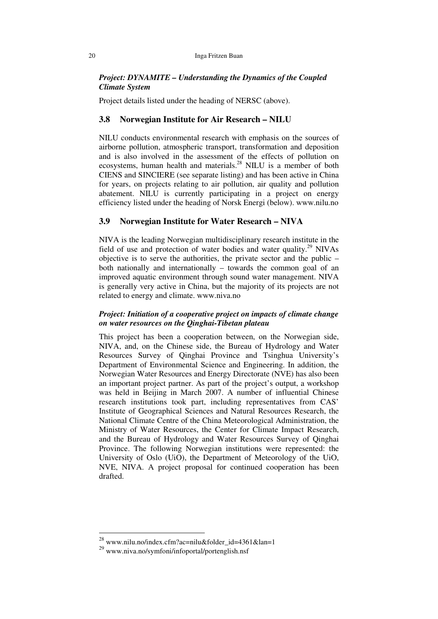#### *Project: DYNAMITE – Understanding the Dynamics of the Coupled Climate System*

Project details listed under the heading of NERSC (above).

#### **3.8 Norwegian Institute for Air Research – NILU**

NILU conducts environmental research with emphasis on the sources of airborne pollution, atmospheric transport, transformation and deposition and is also involved in the assessment of the effects of pollution on ecosystems, human health and materials.<sup>28</sup> NILU is a member of both CIENS and SINCIERE (see separate listing) and has been active in China for years, on projects relating to air pollution, air quality and pollution abatement. NILU is currently participating in a project on energy efficiency listed under the heading of Norsk Energi (below). www.nilu.no

# **3.9 Norwegian Institute for Water Research – NIVA**

NIVA is the leading Norwegian multidisciplinary research institute in the field of use and protection of water bodies and water quality.<sup>29</sup> NIVAs objective is to serve the authorities, the private sector and the public – both nationally and internationally – towards the common goal of an improved aquatic environment through sound water management. NIVA is generally very active in China, but the majority of its projects are not related to energy and climate. www.niva.no

#### *Project: Initiation of a cooperative project on impacts of climate change on water resources on the Qinghai-Tibetan plateau*

This project has been a cooperation between, on the Norwegian side, NIVA, and, on the Chinese side, the Bureau of Hydrology and Water Resources Survey of Qinghai Province and Tsinghua University's Department of Environmental Science and Engineering. In addition, the Norwegian Water Resources and Energy Directorate (NVE) has also been an important project partner. As part of the project's output, a workshop was held in Beijing in March 2007. A number of influential Chinese research institutions took part, including representatives from CAS' Institute of Geographical Sciences and Natural Resources Research, the National Climate Centre of the China Meteorological Administration, the Ministry of Water Resources, the Center for Climate Impact Research, and the Bureau of Hydrology and Water Resources Survey of Qinghai Province. The following Norwegian institutions were represented: the University of Oslo (UiO), the Department of Meteorology of the UiO, NVE, NIVA. A project proposal for continued cooperation has been drafted.

 $^{28}$  www.nilu.no/index.cfm?ac=nilu&folder\_id=4361&lan=1

<sup>29</sup> www.niva.no/symfoni/infoportal/portenglish.nsf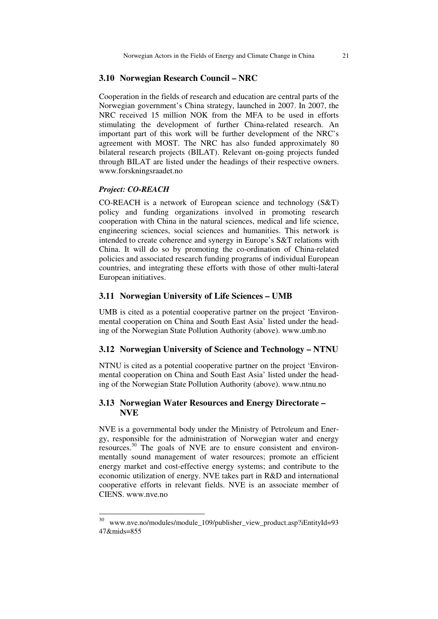#### **3.10 Norwegian Research Council – NRC**

Cooperation in the fields of research and education are central parts of the Norwegian government's China strategy, launched in 2007. In 2007, the NRC received 15 million NOK from the MFA to be used in efforts stimulating the development of further China-related research. An important part of this work will be further development of the NRC's agreement with MOST. The NRC has also funded approximately 80 bilateral research projects (BILAT). Relevant on-going projects funded through BILAT are listed under the headings of their respective owners. www.forskningsraadet.no

#### *Project: CO-REACH*

<u>.</u>

CO-REACH is a network of European science and technology (S&T) policy and funding organizations involved in promoting research cooperation with China in the natural sciences, medical and life science, engineering sciences, social sciences and humanities. This network is intended to create coherence and synergy in Europe's S&T relations with China. It will do so by promoting the co-ordination of China-related policies and associated research funding programs of individual European countries, and integrating these efforts with those of other multi-lateral European initiatives.

#### **3.11 Norwegian University of Life Sciences – UMB**

UMB is cited as a potential cooperative partner on the project 'Environmental cooperation on China and South East Asia' listed under the heading of the Norwegian State Pollution Authority (above). www.umb.no

#### **3.12 Norwegian University of Science and Technology – NTNU**

NTNU is cited as a potential cooperative partner on the project 'Environmental cooperation on China and South East Asia' listed under the heading of the Norwegian State Pollution Authority (above). www.ntnu.no

#### **3.13 Norwegian Water Resources and Energy Directorate – NVE**

NVE is a governmental body under the Ministry of Petroleum and Energy, responsible for the administration of Norwegian water and energy resources.<sup>30</sup> The goals of NVE are to ensure consistent and environmentally sound management of water resources; promote an efficient energy market and cost-effective energy systems; and contribute to the economic utilization of energy. NVE takes part in R&D and international cooperative efforts in relevant fields. NVE is an associate member of CIENS. www.nve.no

<sup>30</sup> www.nve.no/modules/module\_109/publisher\_view\_product.asp?iEntityId=93 47&mids=855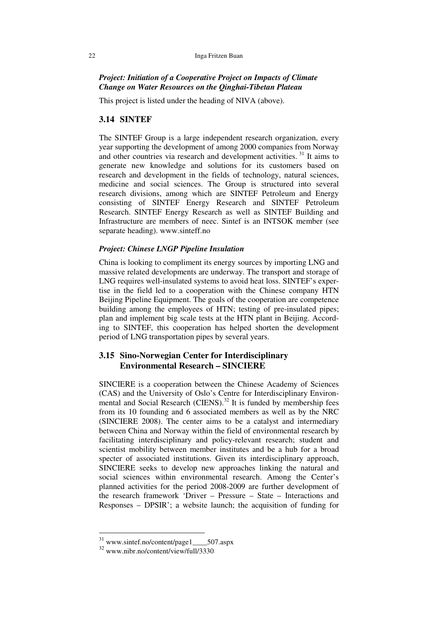#### 22 Inga Fritzen Buan

#### *Project: Initiation of a Cooperative Project on Impacts of Climate Change on Water Resources on the Qinghai-Tibetan Plateau*

This project is listed under the heading of NIVA (above).

#### **3.14 SINTEF**

The SINTEF Group is a large independent research organization, every year supporting the development of among 2000 companies from Norway and other countries via research and development activities.<sup>31</sup> It aims to generate new knowledge and solutions for its customers based on research and development in the fields of technology, natural sciences, medicine and social sciences. The Group is structured into several research divisions, among which are SINTEF Petroleum and Energy consisting of SINTEF Energy Research and SINTEF Petroleum Research. SINTEF Energy Research as well as SINTEF Building and Infrastructure are members of neec. Sintef is an INTSOK member (see separate heading). www.sinteff.no

#### *Project: Chinese LNGP Pipeline Insulation*

China is looking to compliment its energy sources by importing LNG and massive related developments are underway. The transport and storage of LNG requires well-insulated systems to avoid heat loss. SINTEF's expertise in the field led to a cooperation with the Chinese company HTN Beijing Pipeline Equipment. The goals of the cooperation are competence building among the employees of HTN; testing of pre-insulated pipes; plan and implement big scale tests at the HTN plant in Beijing. According to SINTEF, this cooperation has helped shorten the development period of LNG transportation pipes by several years.

# **3.15 Sino-Norwegian Center for Interdisciplinary Environmental Research – SINCIERE**

SINCIERE is a cooperation between the Chinese Academy of Sciences (CAS) and the University of Oslo's Centre for Interdisciplinary Environmental and Social Research (CIENS).<sup>32</sup> It is funded by membership fees from its 10 founding and 6 associated members as well as by the NRC (SINCIERE 2008). The center aims to be a catalyst and intermediary between China and Norway within the field of environmental research by facilitating interdisciplinary and policy-relevant research; student and scientist mobility between member institutes and be a hub for a broad specter of associated institutions. Given its interdisciplinary approach, SINCIERE seeks to develop new approaches linking the natural and social sciences within environmental research. Among the Center's planned activities for the period 2008-2009 are further development of the research framework 'Driver – Pressure – State – Interactions and Responses – DPSIR'; a website launch; the acquisition of funding for

<sup>31</sup> www.sintef.no/content/page1\_\_\_\_507.aspx

<sup>32</sup> www.nibr.no/content/view/full/3330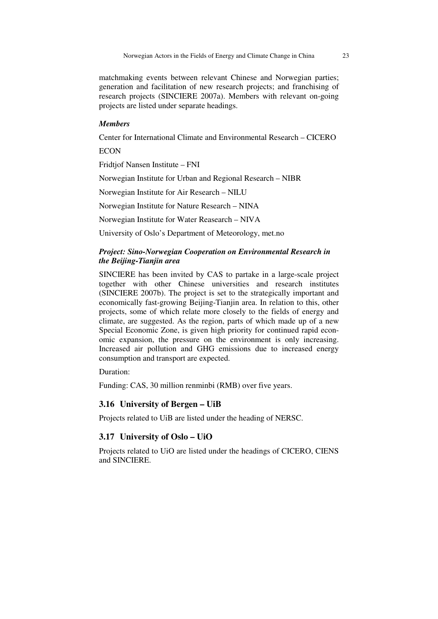matchmaking events between relevant Chinese and Norwegian parties; generation and facilitation of new research projects; and franchising of research projects (SINCIERE 2007a). Members with relevant on-going projects are listed under separate headings.

#### *Members*

Center for International Climate and Environmental Research – CICERO

**ECON** 

Fridtjof Nansen Institute – FNI

Norwegian Institute for Urban and Regional Research – NIBR

Norwegian Institute for Air Research – NILU

Norwegian Institute for Nature Research – NINA

Norwegian Institute for Water Reasearch – NIVA

University of Oslo's Department of Meteorology, met.no

#### *Project: Sino-Norwegian Cooperation on Environmental Research in the Beijing-Tianjin area*

SINCIERE has been invited by CAS to partake in a large-scale project together with other Chinese universities and research institutes (SINCIERE 2007b). The project is set to the strategically important and economically fast-growing Beijing-Tianjin area. In relation to this, other projects, some of which relate more closely to the fields of energy and climate, are suggested. As the region, parts of which made up of a new Special Economic Zone, is given high priority for continued rapid economic expansion, the pressure on the environment is only increasing. Increased air pollution and GHG emissions due to increased energy consumption and transport are expected.

Duration:

Funding: CAS, 30 million renminbi (RMB) over five years.

#### **3.16 University of Bergen – UiB**

Projects related to UiB are listed under the heading of NERSC.

#### **3.17 University of Oslo – UiO**

Projects related to UiO are listed under the headings of CICERO, CIENS and SINCIERE.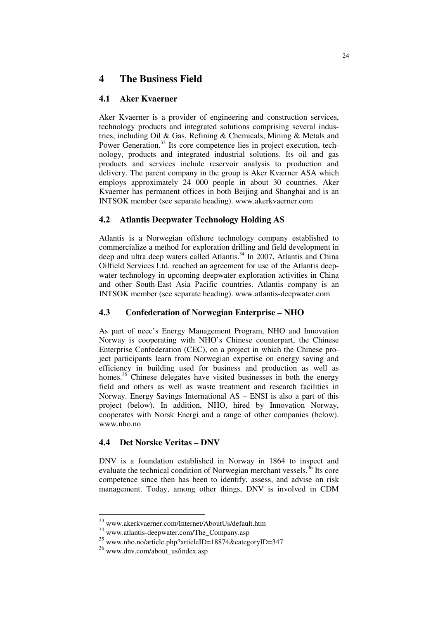# **4 The Business Field**

# **4.1 Aker Kvaerner**

Aker Kvaerner is a provider of engineering and construction services, technology products and integrated solutions comprising several industries, including Oil & Gas, Refining & Chemicals, Mining & Metals and Power Generation.<sup>33</sup> Its core competence lies in project execution, technology, products and integrated industrial solutions. Its oil and gas products and services include reservoir analysis to production and delivery. The parent company in the group is Aker Kværner ASA which employs approximately 24 000 people in about 30 countries. Aker Kvaerner has permanent offices in both Beijing and Shanghai and is an INTSOK member (see separate heading). www.akerkvaerner.com

# **4.2 Atlantis Deepwater Technology Holding AS**

Atlantis is a Norwegian offshore technology company established to commercialize a method for exploration drilling and field development in deep and ultra deep waters called Atlantis.<sup>34</sup> In 2007, Atlantis and China Oilfield Services Ltd. reached an agreement for use of the Atlantis deepwater technology in upcoming deepwater exploration activities in China and other South-East Asia Pacific countries. Atlantis company is an INTSOK member (see separate heading). www.atlantis-deepwater.com

# **4.3 Confederation of Norwegian Enterprise – NHO**

As part of neec's Energy Management Program, NHO and Innovation Norway is cooperating with NHO's Chinese counterpart, the Chinese Enterprise Confederation (CEC), on a project in which the Chinese project participants learn from Norwegian expertise on energy saving and efficiency in building used for business and production as well as homes.<sup>35</sup> Chinese delegates have visited businesses in both the energy field and others as well as waste treatment and research facilities in Norway. Energy Savings International AS – ENSI is also a part of this project (below). In addition, NHO, hired by Innovation Norway, cooperates with Norsk Energi and a range of other companies (below). www.nho.no

# **4.4 Det Norske Veritas – DNV**

DNV is a foundation established in Norway in 1864 to inspect and evaluate the technical condition of Norwegian merchant vessels. $36$  Its core competence since then has been to identify, assess, and advise on risk management. Today, among other things, DNV is involved in CDM

<sup>33</sup> www.akerkvaerner.com/Internet/AboutUs/default.htm

<sup>34</sup> www.atlantis-deepwater.com/The\_Company.asp

<sup>35</sup> www.nho.no/article.php?articleID=18874&categoryID=347

<sup>&</sup>lt;sup>36</sup> www.dnv.com/about\_us/index.asp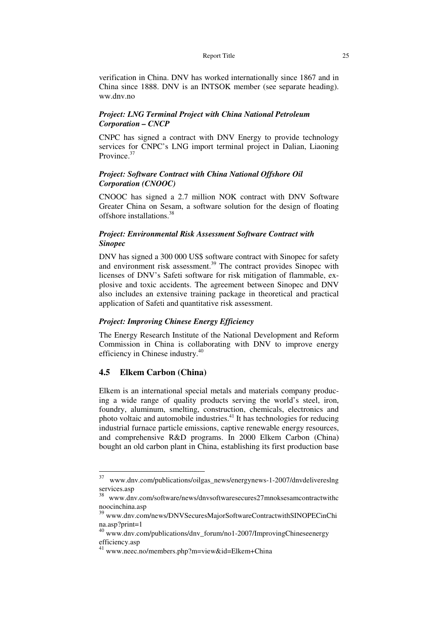verification in China. DNV has worked internationally since 1867 and in China since 1888. DNV is an INTSOK member (see separate heading). ww.dnv.no

#### *Project: LNG Terminal Project with China National Petroleum Corporation – CNCP*

CNPC has signed a contract with DNV Energy to provide technology services for CNPC's LNG import terminal project in Dalian, Liaoning Province.<sup>37</sup>

#### *Project: Software Contract with China National Offshore Oil Corporation (CNOOC)*

CNOOC has signed a 2.7 million NOK contract with DNV Software Greater China on Sesam, a software solution for the design of floating offshore installations.<sup>38</sup>

#### *Project: Environmental Risk Assessment Software Contract with Sinopec*

DNV has signed a 300 000 US\$ software contract with Sinopec for safety and environment risk assessment.<sup>39</sup> The contract provides Sinopec with licenses of DNV's Safeti software for risk mitigation of flammable, explosive and toxic accidents. The agreement between Sinopec and DNV also includes an extensive training package in theoretical and practical application of Safeti and quantitative risk assessment.

#### *Project: Improving Chinese Energy Efficiency*

The Energy Research Institute of the National Development and Reform Commission in China is collaborating with DNV to improve energy efficiency in Chinese industry.<sup>40</sup>

#### **4.5 Elkem Carbon (China)**

Elkem is an international special metals and materials company producing a wide range of quality products serving the world's steel, iron, foundry, aluminum, smelting, construction, chemicals, electronics and photo voltaic and automobile industries.<sup> $41$ </sup> It has technologies for reducing industrial furnace particle emissions, captive renewable energy resources, and comprehensive R&D programs. In 2000 Elkem Carbon (China) bought an old carbon plant in China, establishing its first production base

 $37\,$ www.dnv.com/publications/oilgas\_news/energynews-1-2007/dnvdelivereslng services.asp

<sup>38</sup> www.dnv.com/software/news/dnvsoftwaresecures27mnoksesamcontractwithc noocinchina.asp

<sup>39</sup> www.dnv.com/news/DNVSecuresMajorSoftwareContractwithSINOPECinChi na.asp?print=1

<sup>40</sup> www.dnv.com/publications/dnv\_forum/no1-2007/ImprovingChineseenergy efficiency.asp

<sup>41</sup> www.neec.no/members.php?m=view&id=Elkem+China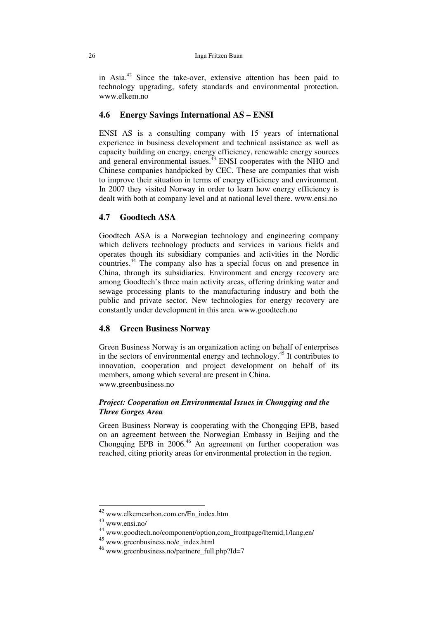in Asia.<sup>42</sup> Since the take-over, extensive attention has been paid to technology upgrading, safety standards and environmental protection. www.elkem.no

#### **4.6 Energy Savings International AS – ENSI**

ENSI AS is a consulting company with 15 years of international experience in business development and technical assistance as well as capacity building on energy, energy efficiency, renewable energy sources and general environmental issues.<sup>43</sup> ENSI cooperates with the NHO and Chinese companies handpicked by CEC. These are companies that wish to improve their situation in terms of energy efficiency and environment. In 2007 they visited Norway in order to learn how energy efficiency is dealt with both at company level and at national level there. www.ensi.no

#### **4.7 Goodtech ASA**

Goodtech ASA is a Norwegian technology and engineering company which delivers technology products and services in various fields and operates though its subsidiary companies and activities in the Nordic countries.<sup>44</sup> The company also has a special focus on and presence in China, through its subsidiaries. Environment and energy recovery are among Goodtech's three main activity areas, offering drinking water and sewage processing plants to the manufacturing industry and both the public and private sector. New technologies for energy recovery are constantly under development in this area. www.goodtech.no

#### **4.8 Green Business Norway**

Green Business Norway is an organization acting on behalf of enterprises in the sectors of environmental energy and technology.<sup>45</sup> It contributes to innovation, cooperation and project development on behalf of its members, among which several are present in China. www.greenbusiness.no

### *Project: Cooperation on Environmental Issues in Chongqing and the Three Gorges Area*

Green Business Norway is cooperating with the Chongqing EPB, based on an agreement between the Norwegian Embassy in Beijing and the Chongqing EPB in 2006.<sup>46</sup> An agreement on further cooperation was reached, citing priority areas for environmental protection in the region.

<sup>&</sup>lt;sup>42</sup> www.elkemcarbon.com.cn/En\_index.htm

<sup>43</sup> www.ensi.no/

<sup>44</sup> www.goodtech.no/component/option,com\_frontpage/Itemid,1/lang,en/

<sup>45</sup> www.greenbusiness.no/e\_index.html

<sup>46</sup> www.greenbusiness.no/partnere\_full.php?Id=7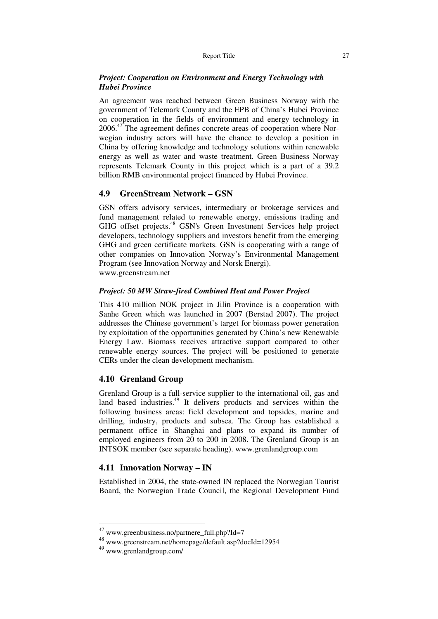#### *Project: Cooperation on Environment and Energy Technology with Hubei Province*

An agreement was reached between Green Business Norway with the government of Telemark County and the EPB of China's Hubei Province on cooperation in the fields of environment and energy technology in 2006.<sup>47</sup> The agreement defines concrete areas of cooperation where Norwegian industry actors will have the chance to develop a position in China by offering knowledge and technology solutions within renewable energy as well as water and waste treatment. Green Business Norway represents Telemark County in this project which is a part of a 39.2 billion RMB environmental project financed by Hubei Province.

#### **4.9 GreenStream Network – GSN**

GSN offers advisory services, intermediary or brokerage services and fund management related to renewable energy, emissions trading and GHG offset projects.<sup>48</sup> GSN's Green Investment Services help project developers, technology suppliers and investors benefit from the emerging GHG and green certificate markets. GSN is cooperating with a range of other companies on Innovation Norway's Environmental Management Program (see Innovation Norway and Norsk Energi). www.greenstream.net

#### *Project: 50 MW Straw-fired Combined Heat and Power Project*

This 410 million NOK project in Jilin Province is a cooperation with Sanhe Green which was launched in 2007 (Berstad 2007). The project addresses the Chinese government's target for biomass power generation by exploitation of the opportunities generated by China's new Renewable Energy Law. Biomass receives attractive support compared to other renewable energy sources. The project will be positioned to generate CERs under the clean development mechanism.

#### **4.10 Grenland Group**

Grenland Group is a full-service supplier to the international oil, gas and land based industries.<sup>49</sup> It delivers products and services within the following business areas: field development and topsides, marine and drilling, industry, products and subsea. The Group has established a permanent office in Shanghai and plans to expand its number of employed engineers from 20 to 200 in 2008. The Grenland Group is an INTSOK member (see separate heading). www.grenlandgroup.com

#### **4.11 Innovation Norway – IN**

Established in 2004, the state-owned IN replaced the Norwegian Tourist Board, the Norwegian Trade Council, the Regional Development Fund

<sup>47</sup> www.greenbusiness.no/partnere\_full.php?Id=7

<sup>48</sup> www.greenstream.net/homepage/default.asp?docId=12954

<sup>49</sup> www.grenlandgroup.com/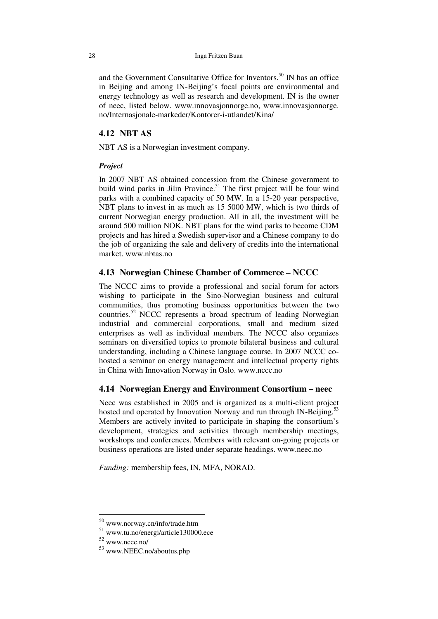and the Government Consultative Office for Inventors.<sup>50</sup> IN has an office in Beijing and among IN-Beijing's focal points are environmental and energy technology as well as research and development. IN is the owner of neec, listed below. www.innovasjonnorge.no, www.innovasjonnorge. no/Internasjonale-markeder/Kontorer-i-utlandet/Kina/

#### **4.12 NBT AS**

NBT AS is a Norwegian investment company.

#### *Project*

In 2007 NBT AS obtained concession from the Chinese government to build wind parks in Jilin Province.<sup>51</sup> The first project will be four wind parks with a combined capacity of 50 MW. In a 15-20 year perspective, NBT plans to invest in as much as 15 5000 MW, which is two thirds of current Norwegian energy production. All in all, the investment will be around 500 million NOK. NBT plans for the wind parks to become CDM projects and has hired a Swedish supervisor and a Chinese company to do the job of organizing the sale and delivery of credits into the international market. www.nbtas.no

#### **4.13 Norwegian Chinese Chamber of Commerce – NCCC**

The NCCC aims to provide a professional and social forum for actors wishing to participate in the Sino-Norwegian business and cultural communities, thus promoting business opportunities between the two countries.<sup>52</sup> NCCC represents a broad spectrum of leading Norwegian industrial and commercial corporations, small and medium sized enterprises as well as individual members. The NCCC also organizes seminars on diversified topics to promote bilateral business and cultural understanding, including a Chinese language course. In 2007 NCCC cohosted a seminar on energy management and intellectual property rights in China with Innovation Norway in Oslo. www.nccc.no

# **4.14 Norwegian Energy and Environment Consortium – neec**

Neec was established in 2005 and is organized as a multi-client project hosted and operated by Innovation Norway and run through IN-Beijing.<sup>5</sup> Members are actively invited to participate in shaping the consortium's development, strategies and activities through membership meetings, workshops and conferences. Members with relevant on-going projects or business operations are listed under separate headings. www.neec.no

*Funding:* membership fees, IN, MFA, NORAD.

<sup>50</sup> www.norway.cn/info/trade.htm

<sup>51</sup> www.tu.no/energi/article130000.ece

<sup>52</sup> www.nccc.no/

<sup>53</sup> www.NEEC.no/aboutus.php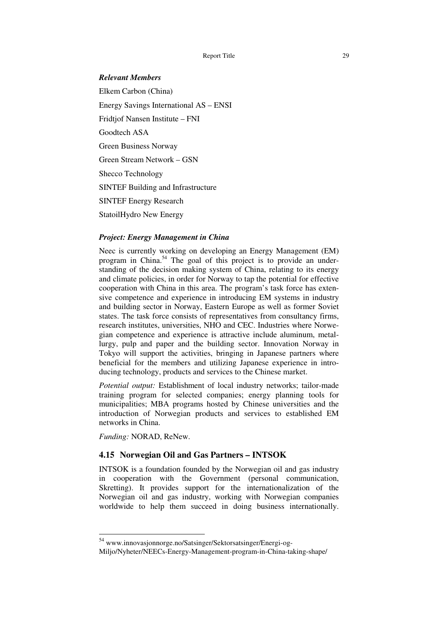#### *Relevant Members*

Elkem Carbon (China) Energy Savings International AS – ENSI Fridtjof Nansen Institute – FNI Goodtech ASA Green Business Norway Green Stream Network – GSN Shecco Technology SINTEF Building and Infrastructure SINTEF Energy Research StatoilHydro New Energy

#### *Project: Energy Management in China*

Neec is currently working on developing an Energy Management (EM) program in China.<sup>54</sup> The goal of this project is to provide an understanding of the decision making system of China, relating to its energy and climate policies, in order for Norway to tap the potential for effective cooperation with China in this area. The program's task force has extensive competence and experience in introducing EM systems in industry and building sector in Norway, Eastern Europe as well as former Soviet states. The task force consists of representatives from consultancy firms, research institutes, universities, NHO and CEC. Industries where Norwegian competence and experience is attractive include aluminum, metallurgy, pulp and paper and the building sector. Innovation Norway in Tokyo will support the activities, bringing in Japanese partners where beneficial for the members and utilizing Japanese experience in introducing technology, products and services to the Chinese market.

*Potential output:* Establishment of local industry networks; tailor-made training program for selected companies; energy planning tools for municipalities; MBA programs hosted by Chinese universities and the introduction of Norwegian products and services to established EM networks in China.

*Funding:* NORAD, ReNew.

-

#### **4.15 Norwegian Oil and Gas Partners – INTSOK**

INTSOK is a foundation founded by the Norwegian oil and gas industry in cooperation with the Government (personal communication, Skretting). It provides support for the internationalization of the Norwegian oil and gas industry, working with Norwegian companies worldwide to help them succeed in doing business internationally.

<sup>54</sup> www.innovasjonnorge.no/Satsinger/Sektorsatsinger/Energi-og-

Miljo/Nyheter/NEECs-Energy-Management-program-in-China-taking-shape/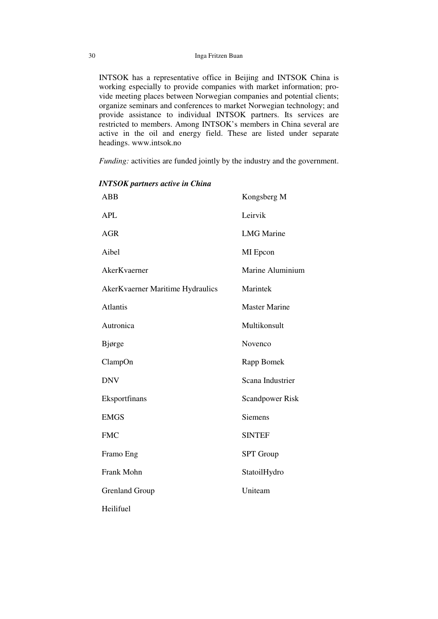INTSOK has a representative office in Beijing and INTSOK China is working especially to provide companies with market information; provide meeting places between Norwegian companies and potential clients; organize seminars and conferences to market Norwegian technology; and provide assistance to individual INTSOK partners. Its services are restricted to members. Among INTSOK's members in China several are active in the oil and energy field. These are listed under separate headings. www.intsok.no

*Funding:* activities are funded jointly by the industry and the government.

| <b>ABB</b>                       | Kongsberg M            |
|----------------------------------|------------------------|
| <b>APL</b>                       | Leirvik                |
| <b>AGR</b>                       | <b>LMG</b> Marine      |
| Aibel                            | MI Epcon               |
| AkerKvaerner                     | Marine Aluminium       |
| AkerKvaerner Maritime Hydraulics | Marintek               |
| <b>Atlantis</b>                  | <b>Master Marine</b>   |
| Autronica                        | Multikonsult           |
| Bjørge                           | Novenco                |
| ClampOn                          | Rapp Bomek             |
| <b>DNV</b>                       | Scana Industrier       |
| Eksportfinans                    | <b>Scandpower Risk</b> |
| <b>EMGS</b>                      | <b>Siemens</b>         |
| <b>FMC</b>                       | <b>SINTEF</b>          |
| Framo Eng                        | <b>SPT</b> Group       |
| Frank Mohn                       | StatoilHydro           |
| <b>Grenland Group</b>            | Uniteam                |
| Heilifuel                        |                        |

*INTSOK partners active in China*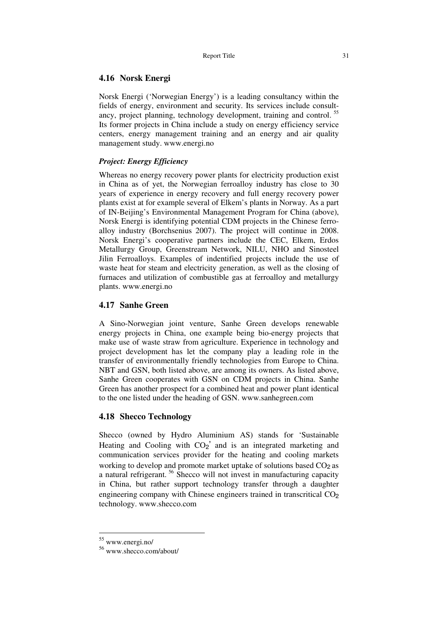#### **4.16 Norsk Energi**

Norsk Energi ('Norwegian Energy') is a leading consultancy within the fields of energy, environment and security. Its services include consultancy, project planning, technology development, training and control.<sup>55</sup> Its former projects in China include a study on energy efficiency service centers, energy management training and an energy and air quality management study. www.energi.no

# *Project: Energy Efficiency*

Whereas no energy recovery power plants for electricity production exist in China as of yet, the Norwegian ferroalloy industry has close to 30 years of experience in energy recovery and full energy recovery power plants exist at for example several of Elkem's plants in Norway. As a part of IN-Beijing's Environmental Management Program for China (above), Norsk Energi is identifying potential CDM projects in the Chinese ferroalloy industry (Borchsenius 2007). The project will continue in 2008. Norsk Energi's cooperative partners include the CEC, Elkem, Erdos Metallurgy Group, Greenstream Network, NILU, NHO and Sinosteel Jilin Ferroalloys. Examples of indentified projects include the use of waste heat for steam and electricity generation, as well as the closing of furnaces and utilization of combustible gas at ferroalloy and metallurgy plants. www.energi.no

#### **4.17 Sanhe Green**

A Sino-Norwegian joint venture, Sanhe Green develops renewable energy projects in China, one example being bio-energy projects that make use of waste straw from agriculture. Experience in technology and project development has let the company play a leading role in the transfer of environmentally friendly technologies from Europe to China. NBT and GSN, both listed above, are among its owners. As listed above, Sanhe Green cooperates with GSN on CDM projects in China. Sanhe Green has another prospect for a combined heat and power plant identical to the one listed under the heading of GSN. www.sanhegreen.com

#### **4.18 Shecco Technology**

Shecco (owned by Hydro Aluminium AS) stands for 'Sustainable Heating and Cooling with CO<sub>2</sub>' and is an integrated marketing and communication services provider for the heating and cooling markets working to develop and promote market uptake of solutions based CO<sub>2</sub> as a natural refrigerant.<sup>56</sup> Shecco will not invest in manufacturing capacity in China, but rather support technology transfer through a daughter engineering company with Chinese engineers trained in transcritical CO<sub>2</sub> technology. www.shecco.com

<sup>55</sup> www.energi.no/

<sup>56</sup> www.shecco.com/about/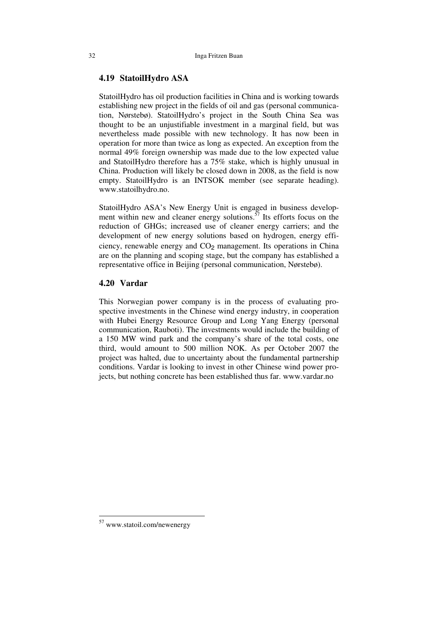#### **4.19 StatoilHydro ASA**

StatoilHydro has oil production facilities in China and is working towards establishing new project in the fields of oil and gas (personal communication, Nørstebø). StatoilHydro's project in the South China Sea was thought to be an unjustifiable investment in a marginal field, but was nevertheless made possible with new technology. It has now been in operation for more than twice as long as expected. An exception from the normal 49% foreign ownership was made due to the low expected value and StatoilHydro therefore has a 75% stake, which is highly unusual in China. Production will likely be closed down in 2008, as the field is now empty. StatoilHydro is an INTSOK member (see separate heading). www.statoilhydro.no.

StatoilHydro ASA's New Energy Unit is engaged in business development within new and cleaner energy solutions.<sup>57</sup> Its efforts focus on the reduction of GHGs; increased use of cleaner energy carriers; and the development of new energy solutions based on hydrogen, energy efficiency, renewable energy and  $CO<sub>2</sub>$  management. Its operations in China are on the planning and scoping stage, but the company has established a representative office in Beijing (personal communication, Nørstebø).

#### **4.20 Vardar**

This Norwegian power company is in the process of evaluating prospective investments in the Chinese wind energy industry, in cooperation with Hubei Energy Resource Group and Long Yang Energy (personal communication, Rauboti). The investments would include the building of a 150 MW wind park and the company's share of the total costs, one third, would amount to 500 million NOK. As per October 2007 the project was halted, due to uncertainty about the fundamental partnership conditions. Vardar is looking to invest in other Chinese wind power projects, but nothing concrete has been established thus far. www.vardar.no

<sup>57</sup> www.statoil.com/newenergy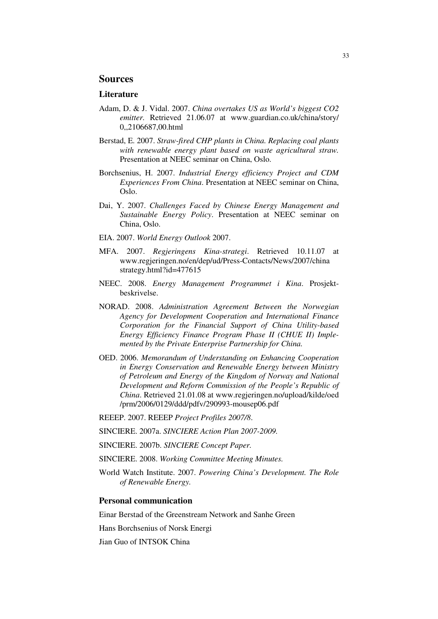# **Sources**

#### **Literature**

- Adam, D. & J. Vidal. 2007. *China overtakes US as World's biggest CO2 emitter.* Retrieved 21.06.07 at www.guardian.co.uk/china/story/ 0,,2106687,00.html
- Berstad, E. 2007. *Straw-fired CHP plants in China. Replacing coal plants with renewable energy plant based on waste agricultural straw.*  Presentation at NEEC seminar on China, Oslo.
- Borchsenius, H. 2007. *Industrial Energy efficiency Project and CDM Experiences From China*. Presentation at NEEC seminar on China, Oslo.
- Dai, Y. 2007. *Challenges Faced by Chinese Energy Management and Sustainable Energy Policy*. Presentation at NEEC seminar on China, Oslo.
- EIA. 2007. *World Energy Outlook* 2007.
- MFA. 2007. *Regjeringens Kina-strategi*. Retrieved 10.11.07 at www.regjeringen.no/en/dep/ud/Press-Contacts/News/2007/china strategy.html?id=477615
- NEEC. 2008. *Energy Management Programmet i Kina*. Prosjektbeskrivelse.
- NORAD. 2008. *Administration Agreement Between the Norwegian Agency for Development Cooperation and International Finance Corporation for the Financial Support of China Utility-based Energy Efficiency Finance Program Phase II (CHUE II) Implemented by the Private Enterprise Partnership for China.*
- OED. 2006. *Memorandum of Understanding on Enhancing Cooperation in Energy Conservation and Renewable Energy between Ministry of Petroleum and Energy of the Kingdom of Norway and National Development and Reform Commission of the People's Republic of China*. Retrieved 21.01.08 at www.regjeringen.no/upload/kilde/oed /prm/2006/0129/ddd/pdfv/290993-mousep06.pdf
- REEEP. 2007. REEEP *Project Profiles 2007/8*.
- SINCIERE. 2007a. *SINCIERE Action Plan 2007-2009.*
- SINCIERE. 2007b. *SINCIERE Concept Paper.*
- SINCIERE. 2008. *Working Committee Meeting Minutes.*
- World Watch Institute. 2007. *Powering China's Development. The Role of Renewable Energy.*

#### **Personal communication**

Einar Berstad of the Greenstream Network and Sanhe Green

Hans Borchsenius of Norsk Energi

Jian Guo of INTSOK China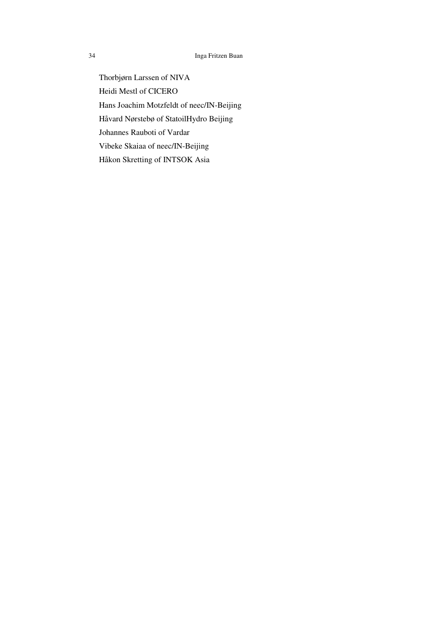Thorbjørn Larssen of NIVA Heidi Mestl of CICERO Hans Joachim Motzfeldt of neec/IN-Beijing Håvard Nørstebø of StatoilHydro Beijing Johannes Rauboti of Vardar Vibeke Skaiaa of neec/IN-Beijing Håkon Skretting of INTSOK Asia